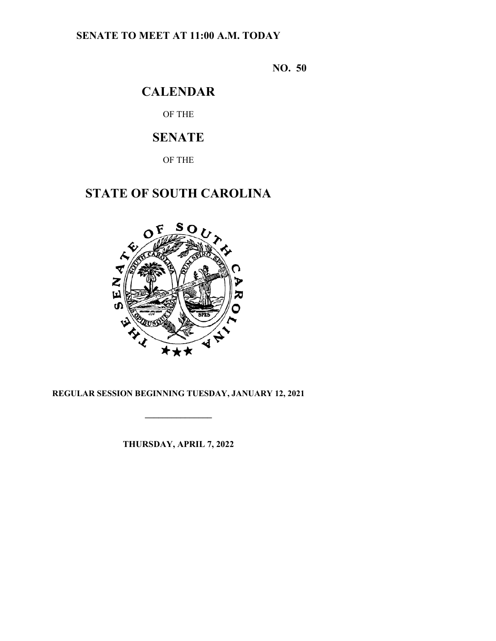## **SENATE TO MEET AT 11:00 A.M. TODAY**

**NO. 50**

## **CALENDAR**

OF THE

# **SENATE**

OF THE

## **STATE OF SOUTH CAROLINA**



## **REGULAR SESSION BEGINNING TUESDAY, JANUARY 12, 2021**

**\_\_\_\_\_\_\_\_\_\_\_\_\_\_\_**

**THURSDAY, APRIL 7, 2022**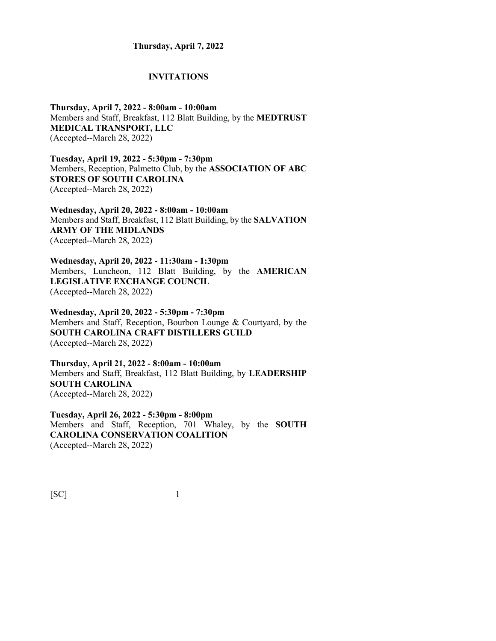#### **Thursday, April 7, 2022**

#### **INVITATIONS**

**Thursday, April 7, 2022 - 8:00am - 10:00am** Members and Staff, Breakfast, 112 Blatt Building, by the **MEDTRUST MEDICAL TRANSPORT, LLC** (Accepted--March 28, 2022)

**Tuesday, April 19, 2022 - 5:30pm - 7:30pm** Members, Reception, Palmetto Club, by the **ASSOCIATION OF ABC STORES OF SOUTH CAROLINA** (Accepted--March 28, 2022)

**Wednesday, April 20, 2022 - 8:00am - 10:00am** Members and Staff, Breakfast, 112 Blatt Building, by the **SALVATION ARMY OF THE MIDLANDS** (Accepted--March 28, 2022)

**Wednesday, April 20, 2022 - 11:30am - 1:30pm** Members, Luncheon, 112 Blatt Building, by the **AMERICAN LEGISLATIVE EXCHANGE COUNCIL** (Accepted--March 28, 2022)

**Wednesday, April 20, 2022 - 5:30pm - 7:30pm** Members and Staff, Reception, Bourbon Lounge & Courtyard, by the **SOUTH CAROLINA CRAFT DISTILLERS GUILD** (Accepted--March 28, 2022)

**Thursday, April 21, 2022 - 8:00am - 10:00am** Members and Staff, Breakfast, 112 Blatt Building, by **LEADERSHIP SOUTH CAROLINA** (Accepted--March 28, 2022)

**Tuesday, April 26, 2022 - 5:30pm - 8:00pm** Members and Staff, Reception, 701 Whaley, by the **SOUTH CAROLINA CONSERVATION COALITION** (Accepted--March 28, 2022)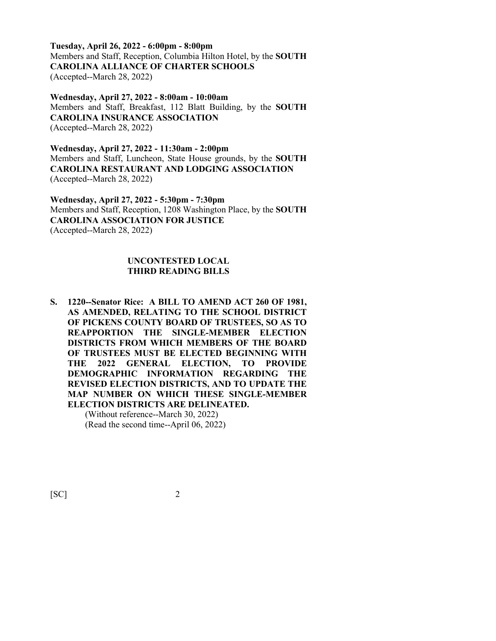**Tuesday, April 26, 2022 - 6:00pm - 8:00pm** Members and Staff, Reception, Columbia Hilton Hotel, by the **SOUTH CAROLINA ALLIANCE OF CHARTER SCHOOLS** (Accepted--March 28, 2022)

**Wednesday, April 27, 2022 - 8:00am - 10:00am** Members and Staff, Breakfast, 112 Blatt Building, by the **SOUTH CAROLINA INSURANCE ASSOCIATION** (Accepted--March 28, 2022)

**Wednesday, April 27, 2022 - 11:30am - 2:00pm** Members and Staff, Luncheon, State House grounds, by the **SOUTH CAROLINA RESTAURANT AND LODGING ASSOCIATION** (Accepted--March 28, 2022)

**Wednesday, April 27, 2022 - 5:30pm - 7:30pm** Members and Staff, Reception, 1208 Washington Place, by the **SOUTH CAROLINA ASSOCIATION FOR JUSTICE** (Accepted--March 28, 2022)

#### **UNCONTESTED LOCAL THIRD READING BILLS**

**S. 1220--Senator Rice: A BILL TO AMEND ACT 260 OF 1981, AS AMENDED, RELATING TO THE SCHOOL DISTRICT OF PICKENS COUNTY BOARD OF TRUSTEES, SO AS TO REAPPORTION THE SINGLE-MEMBER ELECTION DISTRICTS FROM WHICH MEMBERS OF THE BOARD OF TRUSTEES MUST BE ELECTED BEGINNING WITH THE 2022 GENERAL ELECTION, TO PROVIDE DEMOGRAPHIC INFORMATION REGARDING THE REVISED ELECTION DISTRICTS, AND TO UPDATE THE MAP NUMBER ON WHICH THESE SINGLE-MEMBER ELECTION DISTRICTS ARE DELINEATED.**

> (Without reference--March 30, 2022) (Read the second time--April 06, 2022)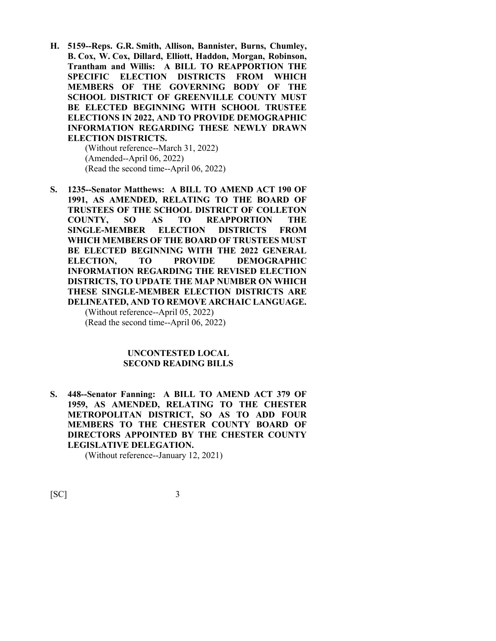**H. 5159--Reps. G.R. Smith, Allison, Bannister, Burns, Chumley, B. Cox, W. Cox, Dillard, Elliott, Haddon, Morgan, Robinson, Trantham and Willis: A BILL TO REAPPORTION THE SPECIFIC ELECTION DISTRICTS FROM WHICH MEMBERS OF THE GOVERNING BODY OF THE SCHOOL DISTRICT OF GREENVILLE COUNTY MUST BE ELECTED BEGINNING WITH SCHOOL TRUSTEE ELECTIONS IN 2022, AND TO PROVIDE DEMOGRAPHIC INFORMATION REGARDING THESE NEWLY DRAWN ELECTION DISTRICTS.**

(Without reference--March 31, 2022) (Amended--April 06, 2022) (Read the second time--April 06, 2022)

**S. 1235--Senator Matthews: A BILL TO AMEND ACT 190 OF 1991, AS AMENDED, RELATING TO THE BOARD OF TRUSTEES OF THE SCHOOL DISTRICT OF COLLETON COUNTY, SO AS TO REAPPORTION THE SINGLE-MEMBER ELECTION DISTRICTS FROM WHICH MEMBERS OF THE BOARD OF TRUSTEES MUST BE ELECTED BEGINNING WITH THE 2022 GENERAL ELECTION, TO PROVIDE DEMOGRAPHIC INFORMATION REGARDING THE REVISED ELECTION DISTRICTS, TO UPDATE THE MAP NUMBER ON WHICH THESE SINGLE-MEMBER ELECTION DISTRICTS ARE DELINEATED, AND TO REMOVE ARCHAIC LANGUAGE.**

(Without reference--April 05, 2022) (Read the second time--April 06, 2022)

#### **UNCONTESTED LOCAL SECOND READING BILLS**

**S. 448--Senator Fanning: A BILL TO AMEND ACT 379 OF 1959, AS AMENDED, RELATING TO THE CHESTER METROPOLITAN DISTRICT, SO AS TO ADD FOUR MEMBERS TO THE CHESTER COUNTY BOARD OF DIRECTORS APPOINTED BY THE CHESTER COUNTY LEGISLATIVE DELEGATION.**

(Without reference--January 12, 2021)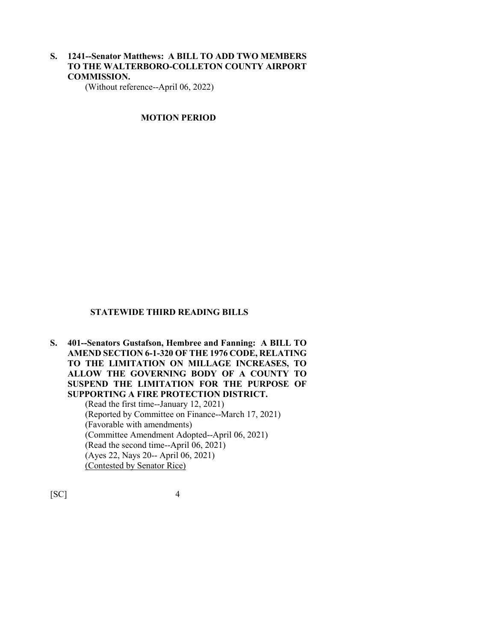**S. 1241--Senator Matthews: A BILL TO ADD TWO MEMBERS TO THE WALTERBORO-COLLETON COUNTY AIRPORT COMMISSION.**

(Without reference--April 06, 2022)

#### **MOTION PERIOD**

#### **STATEWIDE THIRD READING BILLS**

**S. 401--Senators Gustafson, Hembree and Fanning: A BILL TO AMEND SECTION 6-1-320 OF THE 1976 CODE, RELATING TO THE LIMITATION ON MILLAGE INCREASES, TO ALLOW THE GOVERNING BODY OF A COUNTY TO SUSPEND THE LIMITATION FOR THE PURPOSE OF SUPPORTING A FIRE PROTECTION DISTRICT.**

> (Read the first time--January 12, 2021) (Reported by Committee on Finance--March 17, 2021) (Favorable with amendments) (Committee Amendment Adopted--April 06, 2021) (Read the second time--April 06, 2021) (Ayes 22, Nays 20-- April 06, 2021) (Contested by Senator Rice)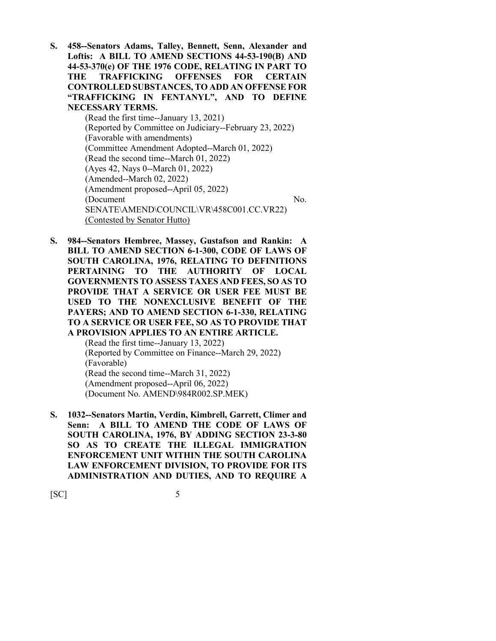**S. 458--Senators Adams, Talley, Bennett, Senn, Alexander and Loftis: A BILL TO AMEND SECTIONS 44-53-190(B) AND 44-53-370(e) OF THE 1976 CODE, RELATING IN PART TO THE TRAFFICKING OFFENSES FOR CERTAIN CONTROLLED SUBSTANCES, TO ADD AN OFFENSE FOR "TRAFFICKING IN FENTANYL", AND TO DEFINE NECESSARY TERMS.**

(Read the first time--January 13, 2021) (Reported by Committee on Judiciary--February 23, 2022) (Favorable with amendments) (Committee Amendment Adopted--March 01, 2022) (Read the second time--March 01, 2022) (Ayes 42, Nays 0--March 01, 2022) (Amended--March 02, 2022) (Amendment proposed--April 05, 2022) (Document No. SENATE\AMEND\COUNCIL\VR\458C001.CC.VR22) (Contested by Senator Hutto)

**S. 984--Senators Hembree, Massey, Gustafson and Rankin: A BILL TO AMEND SECTION 6-1-300, CODE OF LAWS OF SOUTH CAROLINA, 1976, RELATING TO DEFINITIONS PERTAINING TO THE AUTHORITY OF LOCAL GOVERNMENTS TO ASSESS TAXES AND FEES, SO AS TO PROVIDE THAT A SERVICE OR USER FEE MUST BE USED TO THE NONEXCLUSIVE BENEFIT OF THE PAYERS; AND TO AMEND SECTION 6-1-330, RELATING TO A SERVICE OR USER FEE, SO AS TO PROVIDE THAT A PROVISION APPLIES TO AN ENTIRE ARTICLE.**

(Read the first time--January 13, 2022) (Reported by Committee on Finance--March 29, 2022) (Favorable) (Read the second time--March 31, 2022) (Amendment proposed--April 06, 2022) (Document No. AMEND\984R002.SP.MEK)

**S. 1032--Senators Martin, Verdin, Kimbrell, Garrett, Climer and Senn: A BILL TO AMEND THE CODE OF LAWS OF SOUTH CAROLINA, 1976, BY ADDING SECTION 23-3-80 SO AS TO CREATE THE ILLEGAL IMMIGRATION ENFORCEMENT UNIT WITHIN THE SOUTH CAROLINA LAW ENFORCEMENT DIVISION, TO PROVIDE FOR ITS ADMINISTRATION AND DUTIES, AND TO REQUIRE A**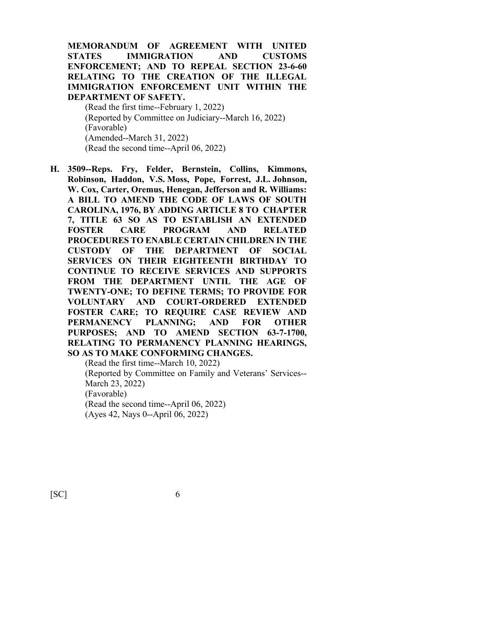**MEMORANDUM OF AGREEMENT WITH UNITED STATES IMMIGRATION AND CUSTOMS ENFORCEMENT; AND TO REPEAL SECTION 23-6-60 RELATING TO THE CREATION OF THE ILLEGAL IMMIGRATION ENFORCEMENT UNIT WITHIN THE DEPARTMENT OF SAFETY.**

(Read the first time--February 1, 2022) (Reported by Committee on Judiciary--March 16, 2022) (Favorable) (Amended--March 31, 2022) (Read the second time--April 06, 2022)

**H. 3509--Reps. Fry, Felder, Bernstein, Collins, Kimmons, Robinson, Haddon, V.S. Moss, Pope, Forrest, J.L. Johnson, W. Cox, Carter, Oremus, Henegan, Jefferson and R. Williams: A BILL TO AMEND THE CODE OF LAWS OF SOUTH CAROLINA, 1976, BY ADDING ARTICLE 8 TO CHAPTER 7, TITLE 63 SO AS TO ESTABLISH AN EXTENDED FOSTER CARE PROGRAM AND RELATED PROCEDURES TO ENABLE CERTAIN CHILDREN IN THE CUSTODY OF THE DEPARTMENT OF SOCIAL SERVICES ON THEIR EIGHTEENTH BIRTHDAY TO CONTINUE TO RECEIVE SERVICES AND SUPPORTS FROM THE DEPARTMENT UNTIL THE AGE OF TWENTY-ONE; TO DEFINE TERMS; TO PROVIDE FOR VOLUNTARY AND COURT-ORDERED EXTENDED FOSTER CARE; TO REQUIRE CASE REVIEW AND PERMANENCY PLANNING; AND FOR OTHER PURPOSES; AND TO AMEND SECTION 63-7-1700, RELATING TO PERMANENCY PLANNING HEARINGS, SO AS TO MAKE CONFORMING CHANGES.**

(Read the first time--March 10, 2022) (Reported by Committee on Family and Veterans' Services-- March 23, 2022) (Favorable) (Read the second time--April 06, 2022) (Ayes 42, Nays 0--April 06, 2022)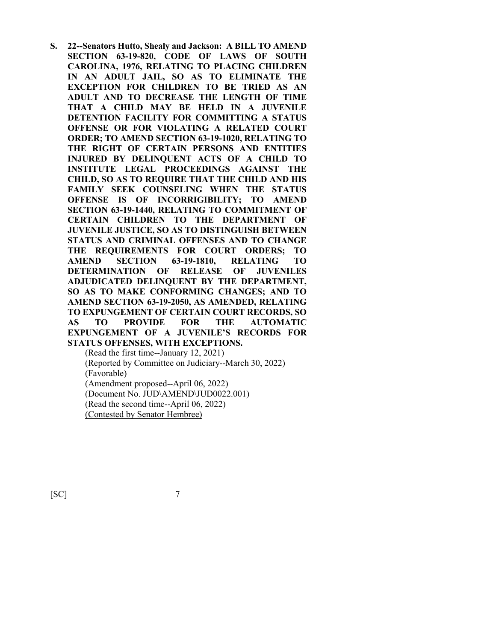**S. 22--Senators Hutto, Shealy and Jackson: A BILL TO AMEND SECTION 63-19-820, CODE OF LAWS OF SOUTH CAROLINA, 1976, RELATING TO PLACING CHILDREN IN AN ADULT JAIL, SO AS TO ELIMINATE THE EXCEPTION FOR CHILDREN TO BE TRIED AS AN ADULT AND TO DECREASE THE LENGTH OF TIME THAT A CHILD MAY BE HELD IN A JUVENILE DETENTION FACILITY FOR COMMITTING A STATUS OFFENSE OR FOR VIOLATING A RELATED COURT ORDER; TO AMEND SECTION 63-19-1020, RELATING TO THE RIGHT OF CERTAIN PERSONS AND ENTITIES INJURED BY DELINQUENT ACTS OF A CHILD TO INSTITUTE LEGAL PROCEEDINGS AGAINST THE CHILD, SO AS TO REQUIRE THAT THE CHILD AND HIS FAMILY SEEK COUNSELING WHEN THE STATUS OFFENSE IS OF INCORRIGIBILITY; TO AMEND SECTION 63-19-1440, RELATING TO COMMITMENT OF CERTAIN CHILDREN TO THE DEPARTMENT OF JUVENILE JUSTICE, SO AS TO DISTINGUISH BETWEEN STATUS AND CRIMINAL OFFENSES AND TO CHANGE THE REQUIREMENTS FOR COURT ORDERS; TO AMEND SECTION 63-19-1810, RELATING TO DETERMINATION OF RELEASE OF JUVENILES ADJUDICATED DELINQUENT BY THE DEPARTMENT, SO AS TO MAKE CONFORMING CHANGES; AND TO AMEND SECTION 63-19-2050, AS AMENDED, RELATING TO EXPUNGEMENT OF CERTAIN COURT RECORDS, SO AS TO PROVIDE FOR THE AUTOMATIC EXPUNGEMENT OF A JUVENILE'S RECORDS FOR STATUS OFFENSES, WITH EXCEPTIONS.** (Read the first time--January 12, 2021) (Reported by Committee on Judiciary--March 30, 2022)

(Favorable)

(Amendment proposed--April 06, 2022)

(Document No. JUD\AMEND\JUD0022.001)

(Read the second time--April 06, 2022)

(Contested by Senator Hembree)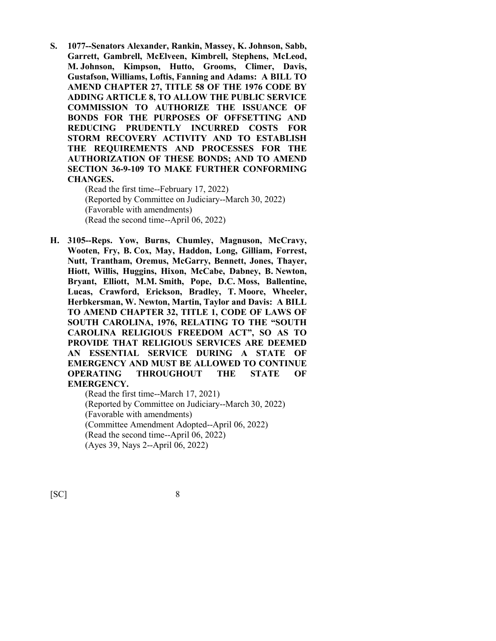**S. 1077--Senators Alexander, Rankin, Massey, K. Johnson, Sabb, Garrett, Gambrell, McElveen, Kimbrell, Stephens, McLeod, M. Johnson, Kimpson, Hutto, Grooms, Climer, Davis, Gustafson, Williams, Loftis, Fanning and Adams: A BILL TO AMEND CHAPTER 27, TITLE 58 OF THE 1976 CODE BY ADDING ARTICLE 8, TO ALLOW THE PUBLIC SERVICE COMMISSION TO AUTHORIZE THE ISSUANCE OF BONDS FOR THE PURPOSES OF OFFSETTING AND REDUCING PRUDENTLY INCURRED COSTS FOR STORM RECOVERY ACTIVITY AND TO ESTABLISH THE REQUIREMENTS AND PROCESSES FOR THE AUTHORIZATION OF THESE BONDS; AND TO AMEND SECTION 36-9-109 TO MAKE FURTHER CONFORMING CHANGES.**

(Read the first time--February 17, 2022) (Reported by Committee on Judiciary--March 30, 2022) (Favorable with amendments) (Read the second time--April 06, 2022)

**H. 3105--Reps. Yow, Burns, Chumley, Magnuson, McCravy, Wooten, Fry, B. Cox, May, Haddon, Long, Gilliam, Forrest, Nutt, Trantham, Oremus, McGarry, Bennett, Jones, Thayer, Hiott, Willis, Huggins, Hixon, McCabe, Dabney, B. Newton, Bryant, Elliott, M.M. Smith, Pope, D.C. Moss, Ballentine, Lucas, Crawford, Erickson, Bradley, T. Moore, Wheeler, Herbkersman, W. Newton, Martin, Taylor and Davis: A BILL TO AMEND CHAPTER 32, TITLE 1, CODE OF LAWS OF SOUTH CAROLINA, 1976, RELATING TO THE "SOUTH CAROLINA RELIGIOUS FREEDOM ACT", SO AS TO PROVIDE THAT RELIGIOUS SERVICES ARE DEEMED AN ESSENTIAL SERVICE DURING A STATE OF EMERGENCY AND MUST BE ALLOWED TO CONTINUE OPERATING THROUGHOUT THE STATE OF EMERGENCY.**

(Read the first time--March 17, 2021) (Reported by Committee on Judiciary--March 30, 2022) (Favorable with amendments) (Committee Amendment Adopted--April 06, 2022) (Read the second time--April 06, 2022) (Ayes 39, Nays 2--April 06, 2022)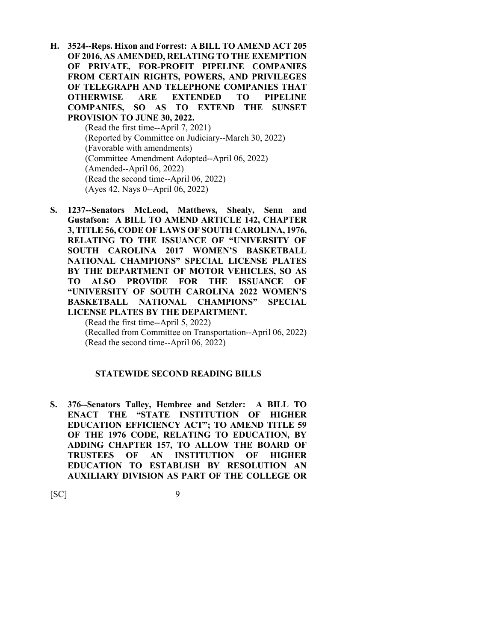- **H. 3524--Reps. Hixon and Forrest: A BILL TO AMEND ACT 205 OF 2016, AS AMENDED, RELATING TO THE EXEMPTION OF PRIVATE, FOR-PROFIT PIPELINE COMPANIES FROM CERTAIN RIGHTS, POWERS, AND PRIVILEGES OF TELEGRAPH AND TELEPHONE COMPANIES THAT OTHERWISE ARE EXTENDED TO PIPELINE COMPANIES, SO AS TO EXTEND THE SUNSET PROVISION TO JUNE 30, 2022.** (Read the first time--April 7, 2021) (Reported by Committee on Judiciary--March 30, 2022) (Favorable with amendments) (Committee Amendment Adopted--April 06, 2022) (Amended--April 06, 2022) (Read the second time--April 06, 2022) (Ayes 42, Nays 0--April 06, 2022)
- **S. 1237--Senators McLeod, Matthews, Shealy, Senn and Gustafson: A BILL TO AMEND ARTICLE 142, CHAPTER 3, TITLE 56, CODE OF LAWS OF SOUTH CAROLINA, 1976, RELATING TO THE ISSUANCE OF "UNIVERSITY OF SOUTH CAROLINA 2017 WOMEN'S BASKETBALL NATIONAL CHAMPIONS" SPECIAL LICENSE PLATES BY THE DEPARTMENT OF MOTOR VEHICLES, SO AS TO ALSO PROVIDE FOR THE ISSUANCE OF "UNIVERSITY OF SOUTH CAROLINA 2022 WOMEN'S BASKETBALL NATIONAL CHAMPIONS" SPECIAL LICENSE PLATES BY THE DEPARTMENT.**

(Read the first time--April 5, 2022) (Recalled from Committee on Transportation--April 06, 2022) (Read the second time--April 06, 2022)

#### **STATEWIDE SECOND READING BILLS**

**S. 376--Senators Talley, Hembree and Setzler: A BILL TO ENACT THE "STATE INSTITUTION OF HIGHER EDUCATION EFFICIENCY ACT"; TO AMEND TITLE 59 OF THE 1976 CODE, RELATING TO EDUCATION, BY ADDING CHAPTER 157, TO ALLOW THE BOARD OF TRUSTEES OF AN INSTITUTION OF HIGHER EDUCATION TO ESTABLISH BY RESOLUTION AN AUXILIARY DIVISION AS PART OF THE COLLEGE OR**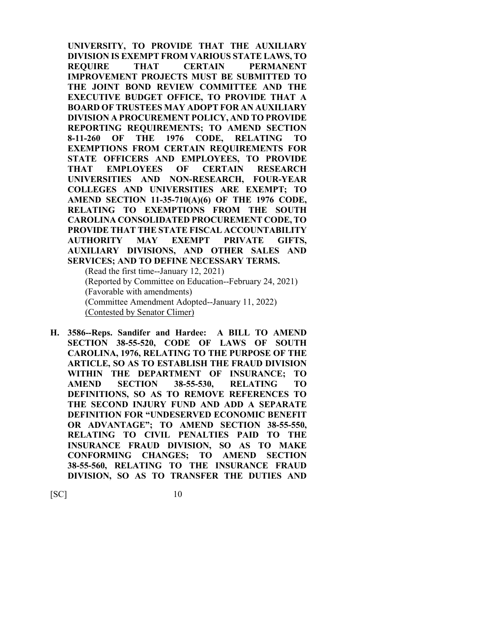**UNIVERSITY, TO PROVIDE THAT THE AUXILIARY DIVISION IS EXEMPT FROM VARIOUS STATE LAWS, TO REQUIRE THAT CERTAIN PERMANENT IMPROVEMENT PROJECTS MUST BE SUBMITTED TO THE JOINT BOND REVIEW COMMITTEE AND THE EXECUTIVE BUDGET OFFICE, TO PROVIDE THAT A BOARD OF TRUSTEES MAY ADOPT FOR AN AUXILIARY DIVISION A PROCUREMENT POLICY, AND TO PROVIDE REPORTING REQUIREMENTS; TO AMEND SECTION 8-11-260 OF THE 1976 CODE, RELATING TO EXEMPTIONS FROM CERTAIN REQUIREMENTS FOR STATE OFFICERS AND EMPLOYEES, TO PROVIDE THAT EMPLOYEES OF CERTAIN RESEARCH UNIVERSITIES AND NON-RESEARCH, FOUR-YEAR COLLEGES AND UNIVERSITIES ARE EXEMPT; TO AMEND SECTION 11-35-710(A)(6) OF THE 1976 CODE, RELATING TO EXEMPTIONS FROM THE SOUTH CAROLINA CONSOLIDATED PROCUREMENT CODE, TO PROVIDE THAT THE STATE FISCAL ACCOUNTABILITY AUTHORITY MAY EXEMPT PRIVATE GIFTS, AUXILIARY DIVISIONS, AND OTHER SALES AND SERVICES; AND TO DEFINE NECESSARY TERMS.**

(Read the first time--January 12, 2021) (Reported by Committee on Education--February 24, 2021) (Favorable with amendments) (Committee Amendment Adopted--January 11, 2022) (Contested by Senator Climer)

**H. 3586--Reps. Sandifer and Hardee: A BILL TO AMEND SECTION 38-55-520, CODE OF LAWS OF SOUTH CAROLINA, 1976, RELATING TO THE PURPOSE OF THE ARTICLE, SO AS TO ESTABLISH THE FRAUD DIVISION WITHIN THE DEPARTMENT OF INSURANCE; TO AMEND SECTION 38-55-530, RELATING TO DEFINITIONS, SO AS TO REMOVE REFERENCES TO THE SECOND INJURY FUND AND ADD A SEPARATE DEFINITION FOR "UNDESERVED ECONOMIC BENEFIT OR ADVANTAGE"; TO AMEND SECTION 38-55-550, RELATING TO CIVIL PENALTIES PAID TO THE INSURANCE FRAUD DIVISION, SO AS TO MAKE CONFORMING CHANGES; TO AMEND SECTION 38-55-560, RELATING TO THE INSURANCE FRAUD DIVISION, SO AS TO TRANSFER THE DUTIES AND**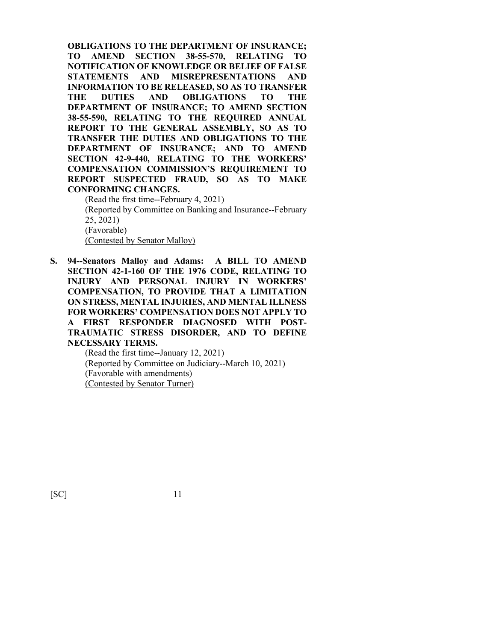**OBLIGATIONS TO THE DEPARTMENT OF INSURANCE; TO AMEND SECTION 38-55-570, RELATING TO NOTIFICATION OF KNOWLEDGE OR BELIEF OF FALSE STATEMENTS AND MISREPRESENTATIONS AND INFORMATION TO BE RELEASED, SO AS TO TRANSFER THE DUTIES AND OBLIGATIONS TO THE DEPARTMENT OF INSURANCE; TO AMEND SECTION 38-55-590, RELATING TO THE REQUIRED ANNUAL REPORT TO THE GENERAL ASSEMBLY, SO AS TO TRANSFER THE DUTIES AND OBLIGATIONS TO THE DEPARTMENT OF INSURANCE; AND TO AMEND SECTION 42-9-440, RELATING TO THE WORKERS' COMPENSATION COMMISSION'S REQUIREMENT TO REPORT SUSPECTED FRAUD, SO AS TO MAKE CONFORMING CHANGES.**

(Read the first time--February 4, 2021) (Reported by Committee on Banking and Insurance--February 25, 2021) (Favorable) (Contested by Senator Malloy)

**S. 94--Senators Malloy and Adams: A BILL TO AMEND SECTION 42-1-160 OF THE 1976 CODE, RELATING TO INJURY AND PERSONAL INJURY IN WORKERS' COMPENSATION, TO PROVIDE THAT A LIMITATION ON STRESS, MENTAL INJURIES, AND MENTAL ILLNESS FOR WORKERS' COMPENSATION DOES NOT APPLY TO A FIRST RESPONDER DIAGNOSED WITH POST-TRAUMATIC STRESS DISORDER, AND TO DEFINE NECESSARY TERMS.**

(Read the first time--January 12, 2021) (Reported by Committee on Judiciary--March 10, 2021) (Favorable with amendments) (Contested by Senator Turner)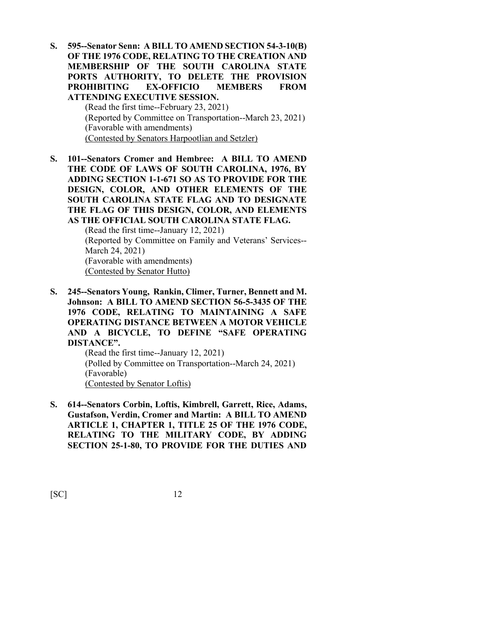**S. 595--Senator Senn: A BILL TO AMEND SECTION 54-3-10(B) OF THE 1976 CODE, RELATING TO THE CREATION AND MEMBERSHIP OF THE SOUTH CAROLINA STATE PORTS AUTHORITY, TO DELETE THE PROVISION PROHIBITING EX-OFFICIO MEMBERS FROM ATTENDING EXECUTIVE SESSION.**

> (Read the first time--February 23, 2021) (Reported by Committee on Transportation--March 23, 2021) (Favorable with amendments) (Contested by Senators Harpootlian and Setzler)

**S. 101--Senators Cromer and Hembree: A BILL TO AMEND THE CODE OF LAWS OF SOUTH CAROLINA, 1976, BY ADDING SECTION 1-1-671 SO AS TO PROVIDE FOR THE DESIGN, COLOR, AND OTHER ELEMENTS OF THE SOUTH CAROLINA STATE FLAG AND TO DESIGNATE THE FLAG OF THIS DESIGN, COLOR, AND ELEMENTS AS THE OFFICIAL SOUTH CAROLINA STATE FLAG.** (Read the first time--January 12, 2021)

(Reported by Committee on Family and Veterans' Services-- March 24, 2021) (Favorable with amendments) (Contested by Senator Hutto)

**S. 245--Senators Young, Rankin, Climer, Turner, Bennett and M. Johnson: A BILL TO AMEND SECTION 56-5-3435 OF THE 1976 CODE, RELATING TO MAINTAINING A SAFE OPERATING DISTANCE BETWEEN A MOTOR VEHICLE AND A BICYCLE, TO DEFINE "SAFE OPERATING DISTANCE".**

(Read the first time--January 12, 2021) (Polled by Committee on Transportation--March 24, 2021) (Favorable) (Contested by Senator Loftis)

**S. 614--Senators Corbin, Loftis, Kimbrell, Garrett, Rice, Adams, Gustafson, Verdin, Cromer and Martin: A BILL TO AMEND ARTICLE 1, CHAPTER 1, TITLE 25 OF THE 1976 CODE, RELATING TO THE MILITARY CODE, BY ADDING SECTION 25-1-80, TO PROVIDE FOR THE DUTIES AND**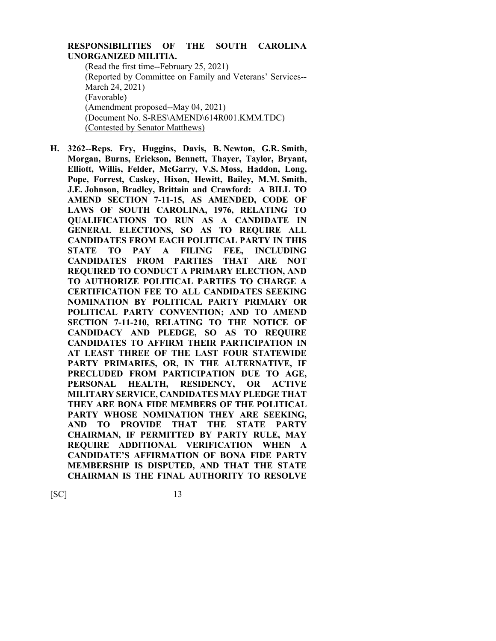#### **RESPONSIBILITIES OF THE SOUTH CAROLINA UNORGANIZED MILITIA.**

(Read the first time--February 25, 2021) (Reported by Committee on Family and Veterans' Services-- March 24, 2021) (Favorable) (Amendment proposed--May 04, 2021) (Document No. S-RES\AMEND\614R001.KMM.TDC) (Contested by Senator Matthews)

**H. 3262--Reps. Fry, Huggins, Davis, B. Newton, G.R. Smith, Morgan, Burns, Erickson, Bennett, Thayer, Taylor, Bryant, Elliott, Willis, Felder, McGarry, V.S. Moss, Haddon, Long, Pope, Forrest, Caskey, Hixon, Hewitt, Bailey, M.M. Smith, J.E. Johnson, Bradley, Brittain and Crawford: A BILL TO AMEND SECTION 7-11-15, AS AMENDED, CODE OF LAWS OF SOUTH CAROLINA, 1976, RELATING TO QUALIFICATIONS TO RUN AS A CANDIDATE IN GENERAL ELECTIONS, SO AS TO REQUIRE ALL CANDIDATES FROM EACH POLITICAL PARTY IN THIS STATE TO PAY A FILING FEE, INCLUDING CANDIDATES FROM PARTIES THAT ARE NOT REQUIRED TO CONDUCT A PRIMARY ELECTION, AND TO AUTHORIZE POLITICAL PARTIES TO CHARGE A CERTIFICATION FEE TO ALL CANDIDATES SEEKING NOMINATION BY POLITICAL PARTY PRIMARY OR POLITICAL PARTY CONVENTION; AND TO AMEND SECTION 7-11-210, RELATING TO THE NOTICE OF CANDIDACY AND PLEDGE, SO AS TO REQUIRE CANDIDATES TO AFFIRM THEIR PARTICIPATION IN AT LEAST THREE OF THE LAST FOUR STATEWIDE PARTY PRIMARIES, OR, IN THE ALTERNATIVE, IF PRECLUDED FROM PARTICIPATION DUE TO AGE, PERSONAL HEALTH, RESIDENCY, OR ACTIVE MILITARY SERVICE, CANDIDATES MAY PLEDGE THAT THEY ARE BONA FIDE MEMBERS OF THE POLITICAL PARTY WHOSE NOMINATION THEY ARE SEEKING, AND TO PROVIDE THAT THE STATE PARTY CHAIRMAN, IF PERMITTED BY PARTY RULE, MAY REQUIRE ADDITIONAL VERIFICATION WHEN A CANDIDATE'S AFFIRMATION OF BONA FIDE PARTY MEMBERSHIP IS DISPUTED, AND THAT THE STATE CHAIRMAN IS THE FINAL AUTHORITY TO RESOLVE**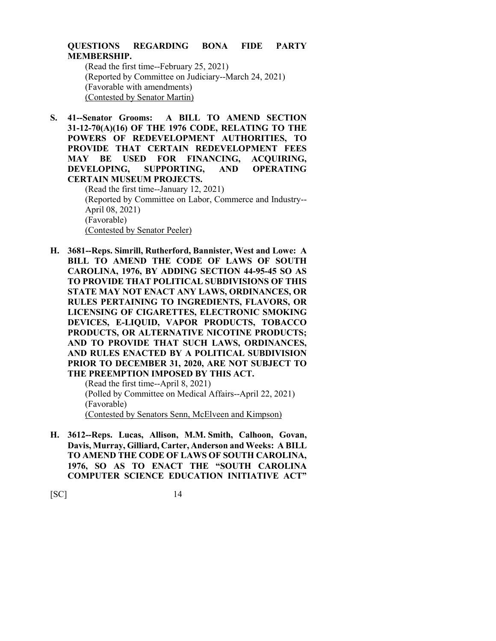### **QUESTIONS REGARDING BONA FIDE PARTY MEMBERSHIP.**

(Read the first time--February 25, 2021) (Reported by Committee on Judiciary--March 24, 2021) (Favorable with amendments) (Contested by Senator Martin)

**S. 41--Senator Grooms: A BILL TO AMEND SECTION 31-12-70(A)(16) OF THE 1976 CODE, RELATING TO THE POWERS OF REDEVELOPMENT AUTHORITIES, TO PROVIDE THAT CERTAIN REDEVELOPMENT FEES MAY BE USED FOR FINANCING, ACQUIRING, DEVELOPING, SUPPORTING, AND OPERATING CERTAIN MUSEUM PROJECTS.**

(Read the first time--January 12, 2021) (Reported by Committee on Labor, Commerce and Industry-- April 08, 2021) (Favorable) (Contested by Senator Peeler)

**H. 3681--Reps. Simrill, Rutherford, Bannister, West and Lowe: A BILL TO AMEND THE CODE OF LAWS OF SOUTH CAROLINA, 1976, BY ADDING SECTION 44-95-45 SO AS TO PROVIDE THAT POLITICAL SUBDIVISIONS OF THIS STATE MAY NOT ENACT ANY LAWS, ORDINANCES, OR RULES PERTAINING TO INGREDIENTS, FLAVORS, OR LICENSING OF CIGARETTES, ELECTRONIC SMOKING DEVICES, E-LIQUID, VAPOR PRODUCTS, TOBACCO PRODUCTS, OR ALTERNATIVE NICOTINE PRODUCTS; AND TO PROVIDE THAT SUCH LAWS, ORDINANCES, AND RULES ENACTED BY A POLITICAL SUBDIVISION PRIOR TO DECEMBER 31, 2020, ARE NOT SUBJECT TO THE PREEMPTION IMPOSED BY THIS ACT.**

(Read the first time--April 8, 2021) (Polled by Committee on Medical Affairs--April 22, 2021) (Favorable) (Contested by Senators Senn, McElveen and Kimpson)

**H. 3612--Reps. Lucas, Allison, M.M. Smith, Calhoon, Govan, Davis, Murray, Gilliard, Carter, Anderson and Weeks: A BILL TO AMEND THE CODE OF LAWS OF SOUTH CAROLINA, 1976, SO AS TO ENACT THE "SOUTH CAROLINA COMPUTER SCIENCE EDUCATION INITIATIVE ACT"**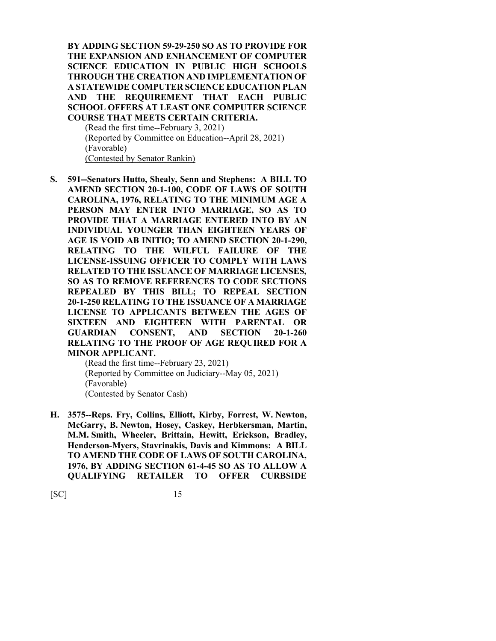**BY ADDING SECTION 59-29-250 SO AS TO PROVIDE FOR THE EXPANSION AND ENHANCEMENT OF COMPUTER SCIENCE EDUCATION IN PUBLIC HIGH SCHOOLS THROUGH THE CREATION AND IMPLEMENTATION OF A STATEWIDE COMPUTER SCIENCE EDUCATION PLAN AND THE REQUIREMENT THAT EACH PUBLIC SCHOOL OFFERS AT LEAST ONE COMPUTER SCIENCE COURSE THAT MEETS CERTAIN CRITERIA.**

(Read the first time--February 3, 2021) (Reported by Committee on Education--April 28, 2021) (Favorable) (Contested by Senator Rankin)

**S. 591--Senators Hutto, Shealy, Senn and Stephens: A BILL TO AMEND SECTION 20-1-100, CODE OF LAWS OF SOUTH CAROLINA, 1976, RELATING TO THE MINIMUM AGE A PERSON MAY ENTER INTO MARRIAGE, SO AS TO PROVIDE THAT A MARRIAGE ENTERED INTO BY AN INDIVIDUAL YOUNGER THAN EIGHTEEN YEARS OF AGE IS VOID AB INITIO; TO AMEND SECTION 20-1-290, RELATING TO THE WILFUL FAILURE OF THE LICENSE-ISSUING OFFICER TO COMPLY WITH LAWS RELATED TO THE ISSUANCE OF MARRIAGE LICENSES, SO AS TO REMOVE REFERENCES TO CODE SECTIONS REPEALED BY THIS BILL; TO REPEAL SECTION 20-1-250 RELATING TO THE ISSUANCE OF A MARRIAGE LICENSE TO APPLICANTS BETWEEN THE AGES OF SIXTEEN AND EIGHTEEN WITH PARENTAL OR GUARDIAN CONSENT, AND SECTION 20-1-260 RELATING TO THE PROOF OF AGE REQUIRED FOR A MINOR APPLICANT.**

(Read the first time--February 23, 2021) (Reported by Committee on Judiciary--May 05, 2021) (Favorable) (Contested by Senator Cash)

**H. 3575--Reps. Fry, Collins, Elliott, Kirby, Forrest, W. Newton, McGarry, B. Newton, Hosey, Caskey, Herbkersman, Martin, M.M. Smith, Wheeler, Brittain, Hewitt, Erickson, Bradley, Henderson-Myers, Stavrinakis, Davis and Kimmons: A BILL TO AMEND THE CODE OF LAWS OF SOUTH CAROLINA, 1976, BY ADDING SECTION 61-4-45 SO AS TO ALLOW A QUALIFYING RETAILER TO OFFER CURBSIDE**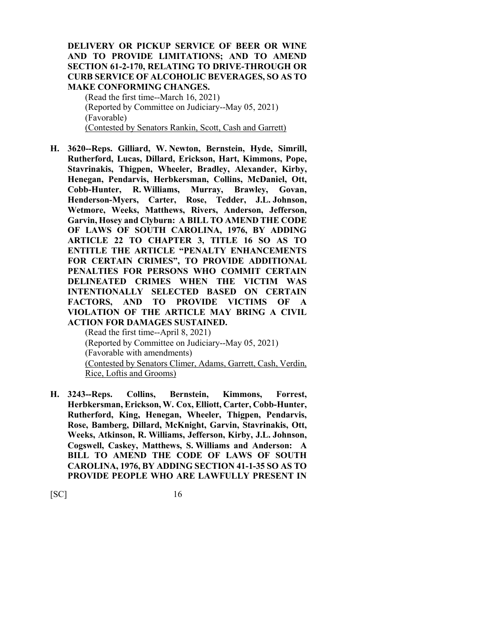#### **DELIVERY OR PICKUP SERVICE OF BEER OR WINE AND TO PROVIDE LIMITATIONS; AND TO AMEND SECTION 61-2-170, RELATING TO DRIVE-THROUGH OR CURB SERVICE OF ALCOHOLIC BEVERAGES, SO AS TO MAKE CONFORMING CHANGES.**

(Read the first time--March 16, 2021) (Reported by Committee on Judiciary--May 05, 2021) (Favorable) (Contested by Senators Rankin, Scott, Cash and Garrett)

**H. 3620--Reps. Gilliard, W. Newton, Bernstein, Hyde, Simrill, Rutherford, Lucas, Dillard, Erickson, Hart, Kimmons, Pope, Stavrinakis, Thigpen, Wheeler, Bradley, Alexander, Kirby, Henegan, Pendarvis, Herbkersman, Collins, McDaniel, Ott, Cobb-Hunter, R. Williams, Murray, Brawley, Govan, Henderson-Myers, Carter, Rose, Tedder, J.L. Johnson, Wetmore, Weeks, Matthews, Rivers, Anderson, Jefferson, Garvin, Hosey and Clyburn: A BILL TO AMEND THE CODE OF LAWS OF SOUTH CAROLINA, 1976, BY ADDING ARTICLE 22 TO CHAPTER 3, TITLE 16 SO AS TO ENTITLE THE ARTICLE "PENALTY ENHANCEMENTS FOR CERTAIN CRIMES", TO PROVIDE ADDITIONAL PENALTIES FOR PERSONS WHO COMMIT CERTAIN DELINEATED CRIMES WHEN THE VICTIM WAS INTENTIONALLY SELECTED BASED ON CERTAIN FACTORS, AND TO PROVIDE VICTIMS OF A VIOLATION OF THE ARTICLE MAY BRING A CIVIL ACTION FOR DAMAGES SUSTAINED.**

(Read the first time--April 8, 2021) (Reported by Committee on Judiciary--May 05, 2021) (Favorable with amendments) (Contested by Senators Climer, Adams, Garrett, Cash, Verdin, Rice, Loftis and Grooms)

**H. 3243--Reps. Collins, Bernstein, Kimmons, Forrest, Herbkersman, Erickson, W. Cox, Elliott, Carter, Cobb-Hunter, Rutherford, King, Henegan, Wheeler, Thigpen, Pendarvis, Rose, Bamberg, Dillard, McKnight, Garvin, Stavrinakis, Ott, Weeks, Atkinson, R. Williams, Jefferson, Kirby, J.L. Johnson, Cogswell, Caskey, Matthews, S. Williams and Anderson: A BILL TO AMEND THE CODE OF LAWS OF SOUTH CAROLINA, 1976, BY ADDING SECTION 41-1-35 SO AS TO PROVIDE PEOPLE WHO ARE LAWFULLY PRESENT IN**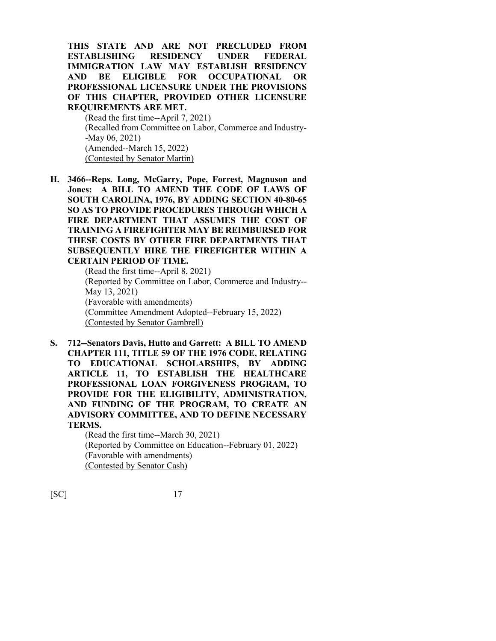**THIS STATE AND ARE NOT PRECLUDED FROM ESTABLISHING RESIDENCY UNDER FEDERAL IMMIGRATION LAW MAY ESTABLISH RESIDENCY AND BE ELIGIBLE FOR OCCUPATIONAL OR PROFESSIONAL LICENSURE UNDER THE PROVISIONS OF THIS CHAPTER, PROVIDED OTHER LICENSURE REQUIREMENTS ARE MET.**

(Read the first time--April 7, 2021) (Recalled from Committee on Labor, Commerce and Industry- -May 06, 2021) (Amended--March 15, 2022) (Contested by Senator Martin)

**H. 3466--Reps. Long, McGarry, Pope, Forrest, Magnuson and Jones: A BILL TO AMEND THE CODE OF LAWS OF SOUTH CAROLINA, 1976, BY ADDING SECTION 40-80-65 SO AS TO PROVIDE PROCEDURES THROUGH WHICH A FIRE DEPARTMENT THAT ASSUMES THE COST OF TRAINING A FIREFIGHTER MAY BE REIMBURSED FOR THESE COSTS BY OTHER FIRE DEPARTMENTS THAT SUBSEQUENTLY HIRE THE FIREFIGHTER WITHIN A CERTAIN PERIOD OF TIME.**

(Read the first time--April 8, 2021) (Reported by Committee on Labor, Commerce and Industry-- May 13, 2021) (Favorable with amendments) (Committee Amendment Adopted--February 15, 2022) (Contested by Senator Gambrell)

**S. 712--Senators Davis, Hutto and Garrett: A BILL TO AMEND CHAPTER 111, TITLE 59 OF THE 1976 CODE, RELATING TO EDUCATIONAL SCHOLARSHIPS, BY ADDING ARTICLE 11, TO ESTABLISH THE HEALTHCARE PROFESSIONAL LOAN FORGIVENESS PROGRAM, TO PROVIDE FOR THE ELIGIBILITY, ADMINISTRATION, AND FUNDING OF THE PROGRAM, TO CREATE AN ADVISORY COMMITTEE, AND TO DEFINE NECESSARY TERMS.**

> (Read the first time--March 30, 2021) (Reported by Committee on Education--February 01, 2022) (Favorable with amendments) (Contested by Senator Cash)

[SC] 17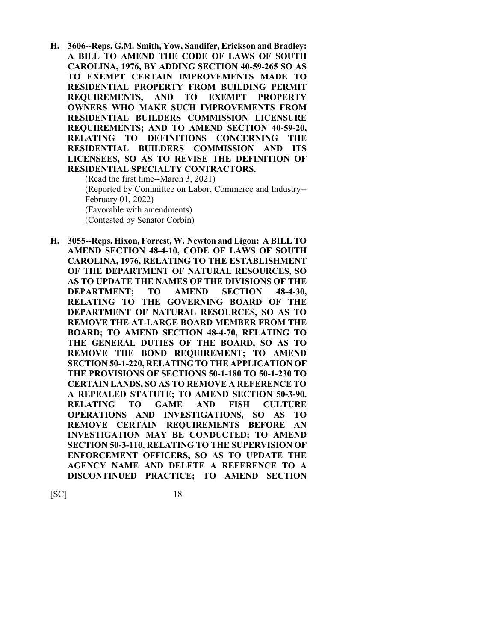**H. 3606--Reps. G.M. Smith, Yow, Sandifer, Erickson and Bradley: A BILL TO AMEND THE CODE OF LAWS OF SOUTH CAROLINA, 1976, BY ADDING SECTION 40-59-265 SO AS TO EXEMPT CERTAIN IMPROVEMENTS MADE TO RESIDENTIAL PROPERTY FROM BUILDING PERMIT REQUIREMENTS, AND TO EXEMPT PROPERTY OWNERS WHO MAKE SUCH IMPROVEMENTS FROM RESIDENTIAL BUILDERS COMMISSION LICENSURE REQUIREMENTS; AND TO AMEND SECTION 40-59-20, RELATING TO DEFINITIONS CONCERNING THE RESIDENTIAL BUILDERS COMMISSION AND ITS LICENSEES, SO AS TO REVISE THE DEFINITION OF RESIDENTIAL SPECIALTY CONTRACTORS.**

(Read the first time--March 3, 2021) (Reported by Committee on Labor, Commerce and Industry-- February 01, 2022) (Favorable with amendments) (Contested by Senator Corbin)

**H. 3055--Reps. Hixon, Forrest, W. Newton and Ligon: A BILL TO AMEND SECTION 48-4-10, CODE OF LAWS OF SOUTH CAROLINA, 1976, RELATING TO THE ESTABLISHMENT OF THE DEPARTMENT OF NATURAL RESOURCES, SO AS TO UPDATE THE NAMES OF THE DIVISIONS OF THE DEPARTMENT; TO AMEND SECTION 48-4-30, RELATING TO THE GOVERNING BOARD OF THE DEPARTMENT OF NATURAL RESOURCES, SO AS TO REMOVE THE AT-LARGE BOARD MEMBER FROM THE BOARD; TO AMEND SECTION 48-4-70, RELATING TO THE GENERAL DUTIES OF THE BOARD, SO AS TO REMOVE THE BOND REQUIREMENT; TO AMEND SECTION 50-1-220, RELATING TO THE APPLICATION OF THE PROVISIONS OF SECTIONS 50-1-180 TO 50-1-230 TO CERTAIN LANDS, SO AS TO REMOVE A REFERENCE TO A REPEALED STATUTE; TO AMEND SECTION 50-3-90, RELATING TO GAME AND FISH CULTURE OPERATIONS AND INVESTIGATIONS, SO AS TO REMOVE CERTAIN REQUIREMENTS BEFORE AN INVESTIGATION MAY BE CONDUCTED; TO AMEND SECTION 50-3-110, RELATING TO THE SUPERVISION OF ENFORCEMENT OFFICERS, SO AS TO UPDATE THE AGENCY NAME AND DELETE A REFERENCE TO A DISCONTINUED PRACTICE; TO AMEND SECTION**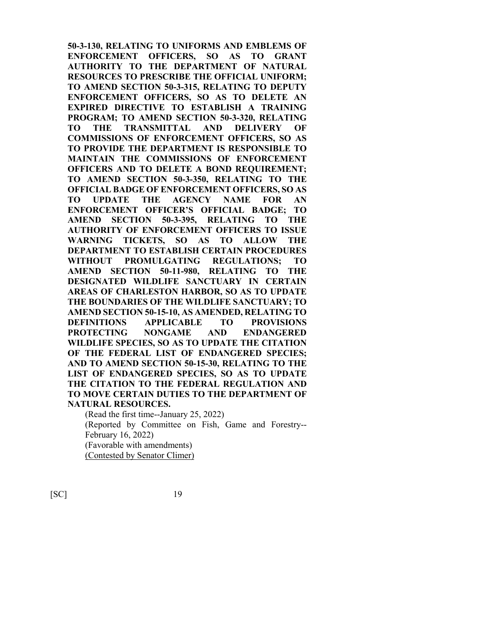**50-3-130, RELATING TO UNIFORMS AND EMBLEMS OF ENFORCEMENT OFFICERS, SO AS TO GRANT AUTHORITY TO THE DEPARTMENT OF NATURAL RESOURCES TO PRESCRIBE THE OFFICIAL UNIFORM; TO AMEND SECTION 50-3-315, RELATING TO DEPUTY ENFORCEMENT OFFICERS, SO AS TO DELETE AN EXPIRED DIRECTIVE TO ESTABLISH A TRAINING PROGRAM; TO AMEND SECTION 50-3-320, RELATING TO THE TRANSMITTAL AND DELIVERY OF COMMISSIONS OF ENFORCEMENT OFFICERS, SO AS TO PROVIDE THE DEPARTMENT IS RESPONSIBLE TO MAINTAIN THE COMMISSIONS OF ENFORCEMENT OFFICERS AND TO DELETE A BOND REQUIREMENT; TO AMEND SECTION 50-3-350, RELATING TO THE OFFICIAL BADGE OF ENFORCEMENT OFFICERS, SO AS TO UPDATE THE AGENCY NAME FOR AN ENFORCEMENT OFFICER'S OFFICIAL BADGE; TO AMEND SECTION 50-3-395, RELATING TO THE AUTHORITY OF ENFORCEMENT OFFICERS TO ISSUE WARNING TICKETS, SO AS TO ALLOW THE DEPARTMENT TO ESTABLISH CERTAIN PROCEDURES WITHOUT PROMULGATING REGULATIONS; TO AMEND SECTION 50-11-980, RELATING TO THE DESIGNATED WILDLIFE SANCTUARY IN CERTAIN AREAS OF CHARLESTON HARBOR, SO AS TO UPDATE THE BOUNDARIES OF THE WILDLIFE SANCTUARY; TO AMEND SECTION 50-15-10, AS AMENDED, RELATING TO DEFINITIONS APPLICABLE TO PROVISIONS PROTECTING NONGAME AND ENDANGERED WILDLIFE SPECIES, SO AS TO UPDATE THE CITATION OF THE FEDERAL LIST OF ENDANGERED SPECIES; AND TO AMEND SECTION 50-15-30, RELATING TO THE LIST OF ENDANGERED SPECIES, SO AS TO UPDATE THE CITATION TO THE FEDERAL REGULATION AND TO MOVE CERTAIN DUTIES TO THE DEPARTMENT OF NATURAL RESOURCES.**

(Read the first time--January 25, 2022) (Reported by Committee on Fish, Game and Forestry-- February 16, 2022) (Favorable with amendments) (Contested by Senator Climer)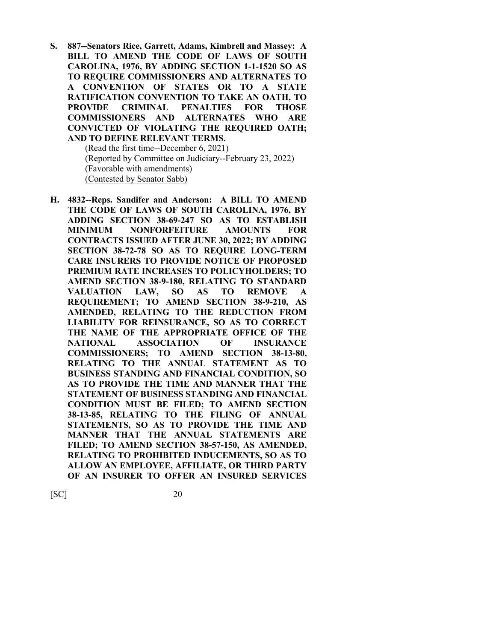**S. 887--Senators Rice, Garrett, Adams, Kimbrell and Massey: A BILL TO AMEND THE CODE OF LAWS OF SOUTH CAROLINA, 1976, BY ADDING SECTION 1-1-1520 SO AS TO REQUIRE COMMISSIONERS AND ALTERNATES TO A CONVENTION OF STATES OR TO A STATE RATIFICATION CONVENTION TO TAKE AN OATH, TO PROVIDE CRIMINAL PENALTIES FOR THOSE COMMISSIONERS AND ALTERNATES WHO ARE CONVICTED OF VIOLATING THE REQUIRED OATH; AND TO DEFINE RELEVANT TERMS.**

(Read the first time--December 6, 2021) (Reported by Committee on Judiciary--February 23, 2022) (Favorable with amendments) (Contested by Senator Sabb)

**H. 4832--Reps. Sandifer and Anderson: A BILL TO AMEND THE CODE OF LAWS OF SOUTH CAROLINA, 1976, BY ADDING SECTION 38-69-247 SO AS TO ESTABLISH MINIMUM NONFORFEITURE AMOUNTS FOR CONTRACTS ISSUED AFTER JUNE 30, 2022; BY ADDING SECTION 38-72-78 SO AS TO REQUIRE LONG-TERM CARE INSURERS TO PROVIDE NOTICE OF PROPOSED PREMIUM RATE INCREASES TO POLICYHOLDERS; TO AMEND SECTION 38-9-180, RELATING TO STANDARD VALUATION LAW, SO AS TO REMOVE A REQUIREMENT; TO AMEND SECTION 38-9-210, AS AMENDED, RELATING TO THE REDUCTION FROM LIABILITY FOR REINSURANCE, SO AS TO CORRECT THE NAME OF THE APPROPRIATE OFFICE OF THE NATIONAL ASSOCIATION OF INSURANCE COMMISSIONERS; TO AMEND SECTION 38-13-80, RELATING TO THE ANNUAL STATEMENT AS TO BUSINESS STANDING AND FINANCIAL CONDITION, SO AS TO PROVIDE THE TIME AND MANNER THAT THE STATEMENT OF BUSINESS STANDING AND FINANCIAL CONDITION MUST BE FILED; TO AMEND SECTION 38-13-85, RELATING TO THE FILING OF ANNUAL STATEMENTS, SO AS TO PROVIDE THE TIME AND MANNER THAT THE ANNUAL STATEMENTS ARE FILED; TO AMEND SECTION 38-57-150, AS AMENDED, RELATING TO PROHIBITED INDUCEMENTS, SO AS TO ALLOW AN EMPLOYEE, AFFILIATE, OR THIRD PARTY OF AN INSURER TO OFFER AN INSURED SERVICES**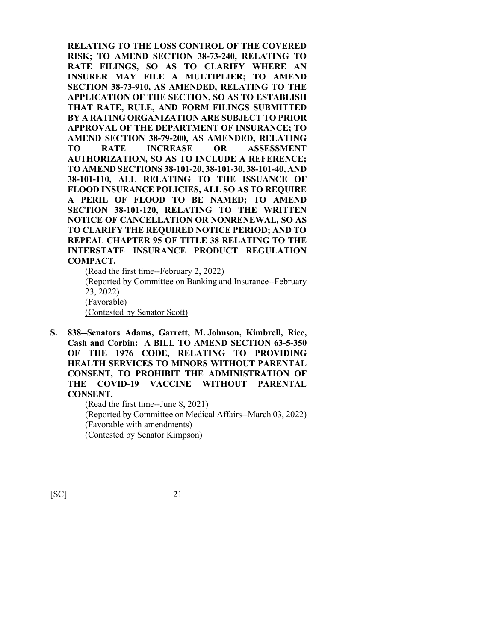**RELATING TO THE LOSS CONTROL OF THE COVERED RISK; TO AMEND SECTION 38-73-240, RELATING TO RATE FILINGS, SO AS TO CLARIFY WHERE AN INSURER MAY FILE A MULTIPLIER; TO AMEND SECTION 38-73-910, AS AMENDED, RELATING TO THE APPLICATION OF THE SECTION, SO AS TO ESTABLISH THAT RATE, RULE, AND FORM FILINGS SUBMITTED BY A RATING ORGANIZATION ARE SUBJECT TO PRIOR APPROVAL OF THE DEPARTMENT OF INSURANCE; TO AMEND SECTION 38-79-200, AS AMENDED, RELATING TO RATE INCREASE OR ASSESSMENT AUTHORIZATION, SO AS TO INCLUDE A REFERENCE; TO AMEND SECTIONS 38-101-20, 38-101-30, 38-101-40, AND 38-101-110, ALL RELATING TO THE ISSUANCE OF FLOOD INSURANCE POLICIES, ALL SO AS TO REQUIRE A PERIL OF FLOOD TO BE NAMED; TO AMEND SECTION 38-101-120, RELATING TO THE WRITTEN NOTICE OF CANCELLATION OR NONRENEWAL, SO AS TO CLARIFY THE REQUIRED NOTICE PERIOD; AND TO REPEAL CHAPTER 95 OF TITLE 38 RELATING TO THE INTERSTATE INSURANCE PRODUCT REGULATION COMPACT.**

(Read the first time--February 2, 2022) (Reported by Committee on Banking and Insurance--February 23, 2022) (Favorable) (Contested by Senator Scott)

**S. 838--Senators Adams, Garrett, M. Johnson, Kimbrell, Rice, Cash and Corbin: A BILL TO AMEND SECTION 63-5-350 OF THE 1976 CODE, RELATING TO PROVIDING HEALTH SERVICES TO MINORS WITHOUT PARENTAL CONSENT, TO PROHIBIT THE ADMINISTRATION OF THE COVID-19 VACCINE WITHOUT PARENTAL CONSENT.**

> (Read the first time--June 8, 2021) (Reported by Committee on Medical Affairs--March 03, 2022) (Favorable with amendments) (Contested by Senator Kimpson)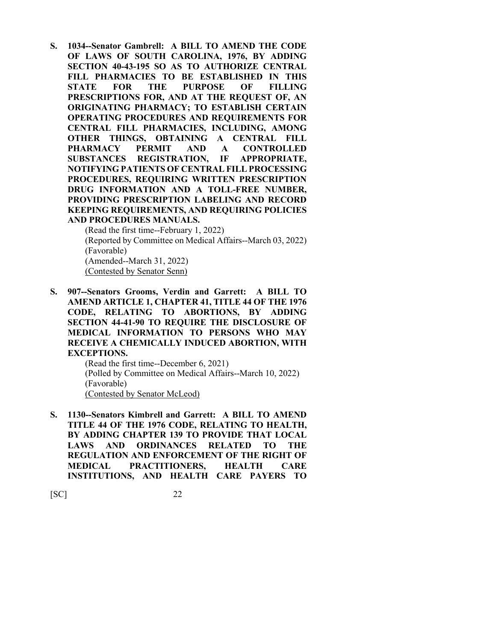**S. 1034--Senator Gambrell: A BILL TO AMEND THE CODE OF LAWS OF SOUTH CAROLINA, 1976, BY ADDING SECTION 40-43-195 SO AS TO AUTHORIZE CENTRAL FILL PHARMACIES TO BE ESTABLISHED IN THIS STATE FOR THE PURPOSE OF FILLING PRESCRIPTIONS FOR, AND AT THE REQUEST OF, AN ORIGINATING PHARMACY; TO ESTABLISH CERTAIN OPERATING PROCEDURES AND REQUIREMENTS FOR CENTRAL FILL PHARMACIES, INCLUDING, AMONG OTHER THINGS, OBTAINING A CENTRAL FILL PHARMACY PERMIT AND A CONTROLLED SUBSTANCES REGISTRATION, IF APPROPRIATE, NOTIFYING PATIENTS OF CENTRAL FILL PROCESSING PROCEDURES, REQUIRING WRITTEN PRESCRIPTION DRUG INFORMATION AND A TOLL-FREE NUMBER, PROVIDING PRESCRIPTION LABELING AND RECORD KEEPING REQUIREMENTS, AND REQUIRING POLICIES AND PROCEDURES MANUALS.**

(Read the first time--February 1, 2022) (Reported by Committee on Medical Affairs--March 03, 2022) (Favorable) (Amended--March 31, 2022) (Contested by Senator Senn)

**S. 907--Senators Grooms, Verdin and Garrett: A BILL TO AMEND ARTICLE 1, CHAPTER 41, TITLE 44 OF THE 1976 CODE, RELATING TO ABORTIONS, BY ADDING SECTION 44-41-90 TO REQUIRE THE DISCLOSURE OF MEDICAL INFORMATION TO PERSONS WHO MAY RECEIVE A CHEMICALLY INDUCED ABORTION, WITH EXCEPTIONS.**

(Read the first time--December 6, 2021) (Polled by Committee on Medical Affairs--March 10, 2022) (Favorable) (Contested by Senator McLeod)

**S. 1130--Senators Kimbrell and Garrett: A BILL TO AMEND TITLE 44 OF THE 1976 CODE, RELATING TO HEALTH, BY ADDING CHAPTER 139 TO PROVIDE THAT LOCAL LAWS AND ORDINANCES RELATED TO THE REGULATION AND ENFORCEMENT OF THE RIGHT OF MEDICAL PRACTITIONERS, HEALTH CARE INSTITUTIONS, AND HEALTH CARE PAYERS TO**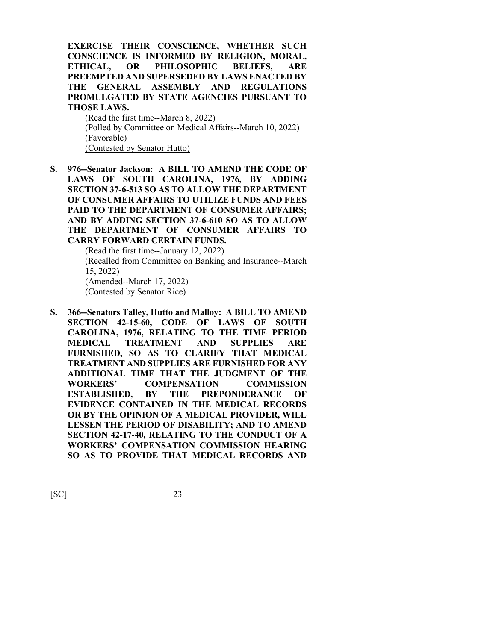**EXERCISE THEIR CONSCIENCE, WHETHER SUCH CONSCIENCE IS INFORMED BY RELIGION, MORAL, ETHICAL, OR PHILOSOPHIC BELIEFS, ARE PREEMPTED AND SUPERSEDED BY LAWS ENACTED BY THE GENERAL ASSEMBLY AND REGULATIONS PROMULGATED BY STATE AGENCIES PURSUANT TO THOSE LAWS.**

(Read the first time--March 8, 2022) (Polled by Committee on Medical Affairs--March 10, 2022) (Favorable) (Contested by Senator Hutto)

**S. 976--Senator Jackson: A BILL TO AMEND THE CODE OF LAWS OF SOUTH CAROLINA, 1976, BY ADDING SECTION 37-6-513 SO AS TO ALLOW THE DEPARTMENT OF CONSUMER AFFAIRS TO UTILIZE FUNDS AND FEES PAID TO THE DEPARTMENT OF CONSUMER AFFAIRS; AND BY ADDING SECTION 37-6-610 SO AS TO ALLOW THE DEPARTMENT OF CONSUMER AFFAIRS TO CARRY FORWARD CERTAIN FUNDS.**

> (Read the first time--January 12, 2022) (Recalled from Committee on Banking and Insurance--March 15, 2022) (Amended--March 17, 2022) (Contested by Senator Rice)

**S. 366--Senators Talley, Hutto and Malloy: A BILL TO AMEND SECTION 42-15-60, CODE OF LAWS OF SOUTH CAROLINA, 1976, RELATING TO THE TIME PERIOD MEDICAL TREATMENT AND SUPPLIES ARE FURNISHED, SO AS TO CLARIFY THAT MEDICAL TREATMENT AND SUPPLIES ARE FURNISHED FOR ANY ADDITIONAL TIME THAT THE JUDGMENT OF THE WORKERS' COMPENSATION COMMISSION ESTABLISHED, BY THE PREPONDERANCE OF EVIDENCE CONTAINED IN THE MEDICAL RECORDS OR BY THE OPINION OF A MEDICAL PROVIDER, WILL LESSEN THE PERIOD OF DISABILITY; AND TO AMEND SECTION 42-17-40, RELATING TO THE CONDUCT OF A WORKERS' COMPENSATION COMMISSION HEARING SO AS TO PROVIDE THAT MEDICAL RECORDS AND**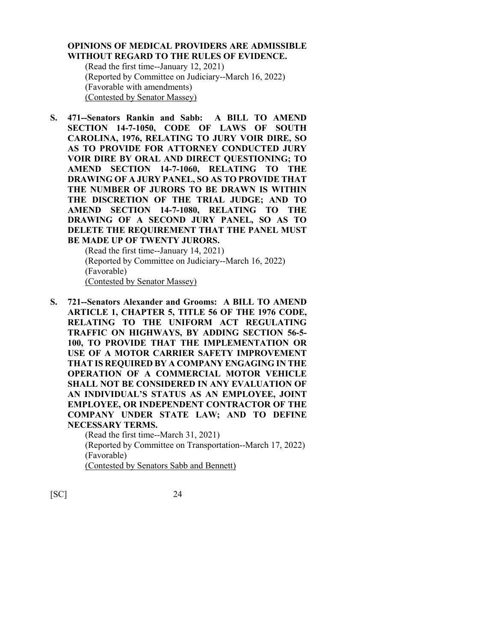#### **OPINIONS OF MEDICAL PROVIDERS ARE ADMISSIBLE WITHOUT REGARD TO THE RULES OF EVIDENCE.**

(Read the first time--January 12, 2021) (Reported by Committee on Judiciary--March 16, 2022) (Favorable with amendments) (Contested by Senator Massey)

**S. 471--Senators Rankin and Sabb: A BILL TO AMEND SECTION 14-7-1050, CODE OF LAWS OF SOUTH CAROLINA, 1976, RELATING TO JURY VOIR DIRE, SO AS TO PROVIDE FOR ATTORNEY CONDUCTED JURY VOIR DIRE BY ORAL AND DIRECT QUESTIONING; TO AMEND SECTION 14-7-1060, RELATING TO THE DRAWING OF A JURY PANEL, SO AS TO PROVIDE THAT THE NUMBER OF JURORS TO BE DRAWN IS WITHIN THE DISCRETION OF THE TRIAL JUDGE; AND TO AMEND SECTION 14-7-1080, RELATING TO THE DRAWING OF A SECOND JURY PANEL, SO AS TO DELETE THE REQUIREMENT THAT THE PANEL MUST BE MADE UP OF TWENTY JURORS.**

> (Read the first time--January 14, 2021) (Reported by Committee on Judiciary--March 16, 2022) (Favorable) (Contested by Senator Massey)

**S. 721--Senators Alexander and Grooms: A BILL TO AMEND ARTICLE 1, CHAPTER 5, TITLE 56 OF THE 1976 CODE, RELATING TO THE UNIFORM ACT REGULATING TRAFFIC ON HIGHWAYS, BY ADDING SECTION 56-5- 100, TO PROVIDE THAT THE IMPLEMENTATION OR USE OF A MOTOR CARRIER SAFETY IMPROVEMENT THAT IS REQUIRED BY A COMPANY ENGAGING IN THE OPERATION OF A COMMERCIAL MOTOR VEHICLE SHALL NOT BE CONSIDERED IN ANY EVALUATION OF AN INDIVIDUAL'S STATUS AS AN EMPLOYEE, JOINT EMPLOYEE, OR INDEPENDENT CONTRACTOR OF THE COMPANY UNDER STATE LAW; AND TO DEFINE NECESSARY TERMS.**

> (Read the first time--March 31, 2021) (Reported by Committee on Transportation--March 17, 2022) (Favorable) (Contested by Senators Sabb and Bennett)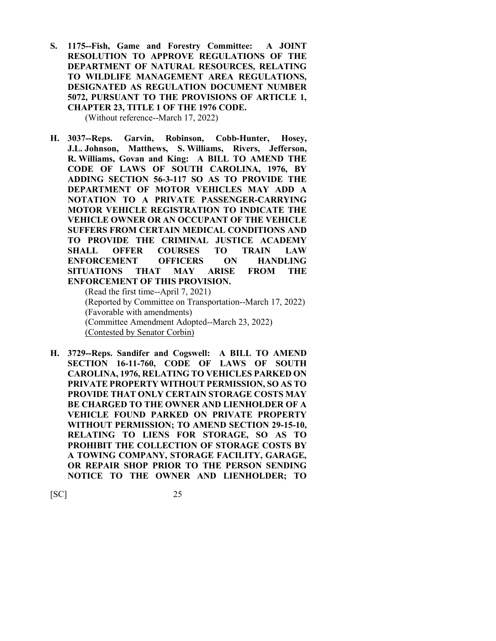**S. 1175--Fish, Game and Forestry Committee: A JOINT RESOLUTION TO APPROVE REGULATIONS OF THE DEPARTMENT OF NATURAL RESOURCES, RELATING TO WILDLIFE MANAGEMENT AREA REGULATIONS, DESIGNATED AS REGULATION DOCUMENT NUMBER 5072, PURSUANT TO THE PROVISIONS OF ARTICLE 1, CHAPTER 23, TITLE 1 OF THE 1976 CODE.**

(Without reference--March 17, 2022)

**H. 3037--Reps. Garvin, Robinson, Cobb-Hunter, Hosey, J.L. Johnson, Matthews, S. Williams, Rivers, Jefferson, R. Williams, Govan and King: A BILL TO AMEND THE CODE OF LAWS OF SOUTH CAROLINA, 1976, BY ADDING SECTION 56-3-117 SO AS TO PROVIDE THE DEPARTMENT OF MOTOR VEHICLES MAY ADD A NOTATION TO A PRIVATE PASSENGER-CARRYING MOTOR VEHICLE REGISTRATION TO INDICATE THE VEHICLE OWNER OR AN OCCUPANT OF THE VEHICLE SUFFERS FROM CERTAIN MEDICAL CONDITIONS AND TO PROVIDE THE CRIMINAL JUSTICE ACADEMY SHALL OFFER COURSES TO TRAIN LAW ENFORCEMENT OFFICERS ON HANDLING SITUATIONS THAT MAY ARISE FROM THE ENFORCEMENT OF THIS PROVISION.**

(Read the first time--April 7, 2021) (Reported by Committee on Transportation--March 17, 2022) (Favorable with amendments) (Committee Amendment Adopted--March 23, 2022) (Contested by Senator Corbin)

**H. 3729--Reps. Sandifer and Cogswell: A BILL TO AMEND SECTION 16-11-760, CODE OF LAWS OF SOUTH CAROLINA, 1976, RELATING TO VEHICLES PARKED ON PRIVATE PROPERTY WITHOUT PERMISSION, SO AS TO PROVIDE THAT ONLY CERTAIN STORAGE COSTS MAY BE CHARGED TO THE OWNER AND LIENHOLDER OF A VEHICLE FOUND PARKED ON PRIVATE PROPERTY WITHOUT PERMISSION; TO AMEND SECTION 29-15-10, RELATING TO LIENS FOR STORAGE, SO AS TO PROHIBIT THE COLLECTION OF STORAGE COSTS BY A TOWING COMPANY, STORAGE FACILITY, GARAGE, OR REPAIR SHOP PRIOR TO THE PERSON SENDING NOTICE TO THE OWNER AND LIENHOLDER; TO**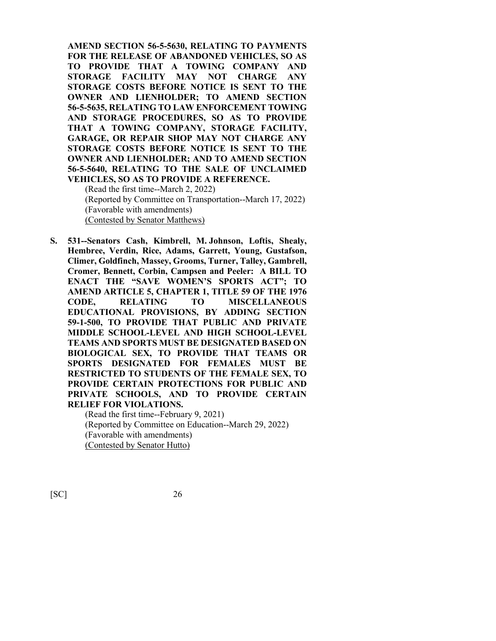**AMEND SECTION 56-5-5630, RELATING TO PAYMENTS FOR THE RELEASE OF ABANDONED VEHICLES, SO AS TO PROVIDE THAT A TOWING COMPANY AND STORAGE FACILITY MAY NOT CHARGE ANY STORAGE COSTS BEFORE NOTICE IS SENT TO THE OWNER AND LIENHOLDER; TO AMEND SECTION 56-5-5635, RELATING TO LAW ENFORCEMENT TOWING AND STORAGE PROCEDURES, SO AS TO PROVIDE THAT A TOWING COMPANY, STORAGE FACILITY, GARAGE, OR REPAIR SHOP MAY NOT CHARGE ANY STORAGE COSTS BEFORE NOTICE IS SENT TO THE OWNER AND LIENHOLDER; AND TO AMEND SECTION 56-5-5640, RELATING TO THE SALE OF UNCLAIMED VEHICLES, SO AS TO PROVIDE A REFERENCE.**

(Read the first time--March 2, 2022) (Reported by Committee on Transportation--March 17, 2022) (Favorable with amendments) (Contested by Senator Matthews)

**S. 531--Senators Cash, Kimbrell, M. Johnson, Loftis, Shealy, Hembree, Verdin, Rice, Adams, Garrett, Young, Gustafson, Climer, Goldfinch, Massey, Grooms, Turner, Talley, Gambrell, Cromer, Bennett, Corbin, Campsen and Peeler: A BILL TO ENACT THE "SAVE WOMEN'S SPORTS ACT"; TO AMEND ARTICLE 5, CHAPTER 1, TITLE 59 OF THE 1976 CODE, RELATING TO MISCELLANEOUS EDUCATIONAL PROVISIONS, BY ADDING SECTION 59-1-500, TO PROVIDE THAT PUBLIC AND PRIVATE MIDDLE SCHOOL-LEVEL AND HIGH SCHOOL-LEVEL TEAMS AND SPORTS MUST BE DESIGNATED BASED ON BIOLOGICAL SEX, TO PROVIDE THAT TEAMS OR SPORTS DESIGNATED FOR FEMALES MUST BE RESTRICTED TO STUDENTS OF THE FEMALE SEX, TO PROVIDE CERTAIN PROTECTIONS FOR PUBLIC AND PRIVATE SCHOOLS, AND TO PROVIDE CERTAIN RELIEF FOR VIOLATIONS.**

(Read the first time--February 9, 2021) (Reported by Committee on Education--March 29, 2022) (Favorable with amendments) (Contested by Senator Hutto)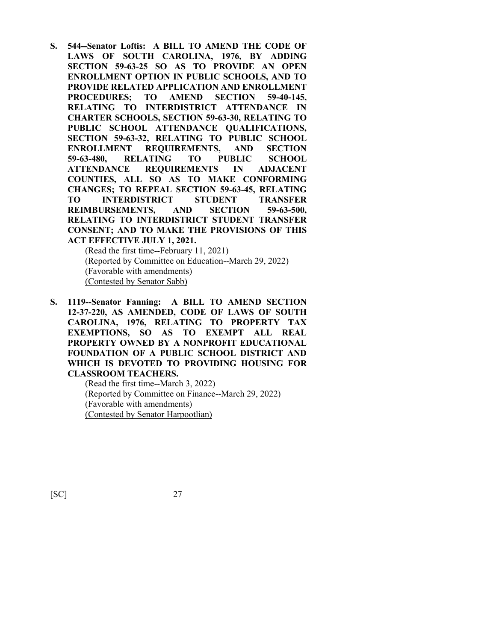**S. 544--Senator Loftis: A BILL TO AMEND THE CODE OF LAWS OF SOUTH CAROLINA, 1976, BY ADDING SECTION 59-63-25 SO AS TO PROVIDE AN OPEN ENROLLMENT OPTION IN PUBLIC SCHOOLS, AND TO PROVIDE RELATED APPLICATION AND ENROLLMENT PROCEDURES; TO AMEND SECTION 59-40-145, RELATING TO INTERDISTRICT ATTENDANCE IN CHARTER SCHOOLS, SECTION 59-63-30, RELATING TO PUBLIC SCHOOL ATTENDANCE QUALIFICATIONS, SECTION 59-63-32, RELATING TO PUBLIC SCHOOL ENROLLMENT REQUIREMENTS, AND SECTION 59-63-480, RELATING TO PUBLIC SCHOOL ATTENDANCE REQUIREMENTS IN ADJACENT COUNTIES, ALL SO AS TO MAKE CONFORMING CHANGES; TO REPEAL SECTION 59-63-45, RELATING TO INTERDISTRICT STUDENT TRANSFER REIMBURSEMENTS, AND SECTION 59-63-500, RELATING TO INTERDISTRICT STUDENT TRANSFER CONSENT; AND TO MAKE THE PROVISIONS OF THIS ACT EFFECTIVE JULY 1, 2021.**

(Read the first time--February 11, 2021) (Reported by Committee on Education--March 29, 2022) (Favorable with amendments) (Contested by Senator Sabb)

**S. 1119--Senator Fanning: A BILL TO AMEND SECTION 12-37-220, AS AMENDED, CODE OF LAWS OF SOUTH CAROLINA, 1976, RELATING TO PROPERTY TAX EXEMPTIONS, SO AS TO EXEMPT ALL REAL PROPERTY OWNED BY A NONPROFIT EDUCATIONAL FOUNDATION OF A PUBLIC SCHOOL DISTRICT AND WHICH IS DEVOTED TO PROVIDING HOUSING FOR CLASSROOM TEACHERS.**

(Read the first time--March 3, 2022) (Reported by Committee on Finance--March 29, 2022) (Favorable with amendments) (Contested by Senator Harpootlian)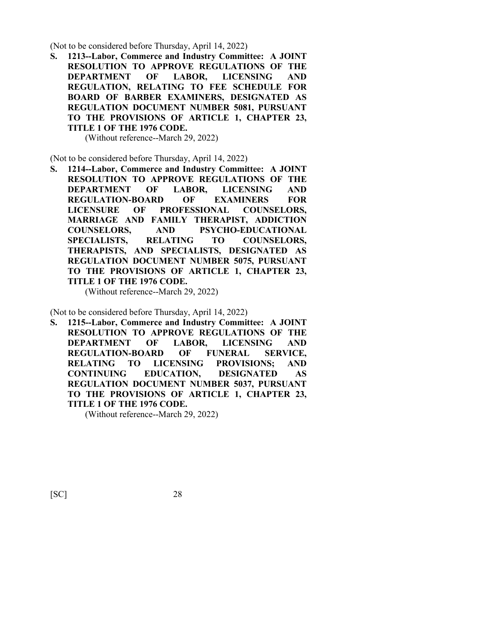(Not to be considered before Thursday, April 14, 2022)

**S. 1213--Labor, Commerce and Industry Committee: A JOINT RESOLUTION TO APPROVE REGULATIONS OF THE DEPARTMENT OF LABOR, LICENSING AND REGULATION, RELATING TO FEE SCHEDULE FOR BOARD OF BARBER EXAMINERS, DESIGNATED AS REGULATION DOCUMENT NUMBER 5081, PURSUANT TO THE PROVISIONS OF ARTICLE 1, CHAPTER 23, TITLE 1 OF THE 1976 CODE.**

(Without reference--March 29, 2022)

(Not to be considered before Thursday, April 14, 2022)

**S. 1214--Labor, Commerce and Industry Committee: A JOINT RESOLUTION TO APPROVE REGULATIONS OF THE DEPARTMENT OF LABOR, LICENSING AND REGULATION-BOARD OF EXAMINERS FOR LICENSURE OF PROFESSIONAL COUNSELORS, MARRIAGE AND FAMILY THERAPIST, ADDICTION COUNSELORS, AND PSYCHO-EDUCATIONAL SPECIALISTS, RELATING TO COUNSELORS, THERAPISTS, AND SPECIALISTS, DESIGNATED AS REGULATION DOCUMENT NUMBER 5075, PURSUANT TO THE PROVISIONS OF ARTICLE 1, CHAPTER 23, TITLE 1 OF THE 1976 CODE.**

(Without reference--March 29, 2022)

(Not to be considered before Thursday, April 14, 2022)

**S. 1215--Labor, Commerce and Industry Committee: A JOINT RESOLUTION TO APPROVE REGULATIONS OF THE DEPARTMENT OF LABOR, LICENSING AND REGULATION-BOARD OF FUNERAL SERVICE, RELATING TO LICENSING PROVISIONS; AND CONTINUING EDUCATION, DESIGNATED AS REGULATION DOCUMENT NUMBER 5037, PURSUANT TO THE PROVISIONS OF ARTICLE 1, CHAPTER 23, TITLE 1 OF THE 1976 CODE.**

(Without reference--March 29, 2022)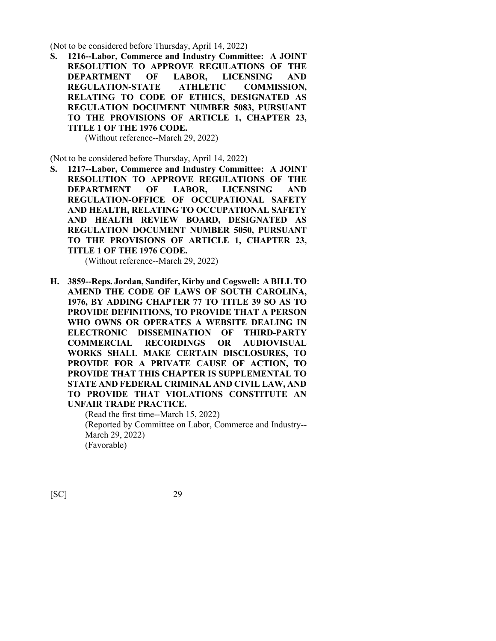(Not to be considered before Thursday, April 14, 2022)

**S. 1216--Labor, Commerce and Industry Committee: A JOINT RESOLUTION TO APPROVE REGULATIONS OF THE DEPARTMENT OF LABOR, LICENSING AND REGULATION-STATE ATHLETIC COMMISSION, RELATING TO CODE OF ETHICS, DESIGNATED AS REGULATION DOCUMENT NUMBER 5083, PURSUANT TO THE PROVISIONS OF ARTICLE 1, CHAPTER 23, TITLE 1 OF THE 1976 CODE.**

(Without reference--March 29, 2022)

(Not to be considered before Thursday, April 14, 2022)

**S. 1217--Labor, Commerce and Industry Committee: A JOINT RESOLUTION TO APPROVE REGULATIONS OF THE DEPARTMENT OF LABOR, LICENSING AND REGULATION-OFFICE OF OCCUPATIONAL SAFETY AND HEALTH, RELATING TO OCCUPATIONAL SAFETY AND HEALTH REVIEW BOARD, DESIGNATED AS REGULATION DOCUMENT NUMBER 5050, PURSUANT TO THE PROVISIONS OF ARTICLE 1, CHAPTER 23, TITLE 1 OF THE 1976 CODE.**

(Without reference--March 29, 2022)

**H. 3859--Reps. Jordan, Sandifer, Kirby and Cogswell: A BILL TO AMEND THE CODE OF LAWS OF SOUTH CAROLINA, 1976, BY ADDING CHAPTER 77 TO TITLE 39 SO AS TO PROVIDE DEFINITIONS, TO PROVIDE THAT A PERSON WHO OWNS OR OPERATES A WEBSITE DEALING IN ELECTRONIC DISSEMINATION OF THIRD-PARTY COMMERCIAL RECORDINGS OR AUDIOVISUAL WORKS SHALL MAKE CERTAIN DISCLOSURES, TO PROVIDE FOR A PRIVATE CAUSE OF ACTION, TO PROVIDE THAT THIS CHAPTER IS SUPPLEMENTAL TO STATE AND FEDERAL CRIMINAL AND CIVIL LAW, AND TO PROVIDE THAT VIOLATIONS CONSTITUTE AN UNFAIR TRADE PRACTICE.**

> (Read the first time--March 15, 2022) (Reported by Committee on Labor, Commerce and Industry-- March 29, 2022) (Favorable)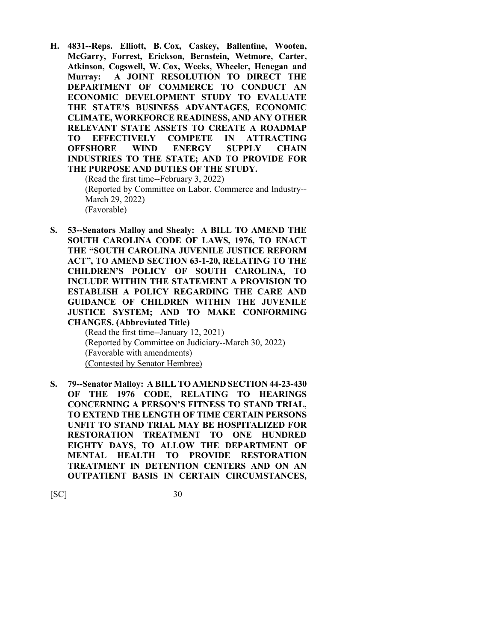**H. 4831--Reps. Elliott, B. Cox, Caskey, Ballentine, Wooten, McGarry, Forrest, Erickson, Bernstein, Wetmore, Carter, Atkinson, Cogswell, W. Cox, Weeks, Wheeler, Henegan and Murray: A JOINT RESOLUTION TO DIRECT THE DEPARTMENT OF COMMERCE TO CONDUCT AN ECONOMIC DEVELOPMENT STUDY TO EVALUATE THE STATE'S BUSINESS ADVANTAGES, ECONOMIC CLIMATE, WORKFORCE READINESS, AND ANY OTHER RELEVANT STATE ASSETS TO CREATE A ROADMAP TO EFFECTIVELY COMPETE IN ATTRACTING OFFSHORE WIND ENERGY SUPPLY CHAIN INDUSTRIES TO THE STATE; AND TO PROVIDE FOR THE PURPOSE AND DUTIES OF THE STUDY.**

(Read the first time--February 3, 2022) (Reported by Committee on Labor, Commerce and Industry-- March 29, 2022) (Favorable)

**S. 53--Senators Malloy and Shealy: A BILL TO AMEND THE SOUTH CAROLINA CODE OF LAWS, 1976, TO ENACT THE "SOUTH CAROLINA JUVENILE JUSTICE REFORM ACT", TO AMEND SECTION 63-1-20, RELATING TO THE CHILDREN'S POLICY OF SOUTH CAROLINA, TO INCLUDE WITHIN THE STATEMENT A PROVISION TO ESTABLISH A POLICY REGARDING THE CARE AND GUIDANCE OF CHILDREN WITHIN THE JUVENILE JUSTICE SYSTEM; AND TO MAKE CONFORMING CHANGES. (Abbreviated Title)**

(Read the first time--January 12, 2021) (Reported by Committee on Judiciary--March 30, 2022) (Favorable with amendments) (Contested by Senator Hembree)

**S. 79--Senator Malloy: A BILL TO AMEND SECTION 44-23-430 OF THE 1976 CODE, RELATING TO HEARINGS CONCERNING A PERSON'S FITNESS TO STAND TRIAL, TO EXTEND THE LENGTH OF TIME CERTAIN PERSONS UNFIT TO STAND TRIAL MAY BE HOSPITALIZED FOR RESTORATION TREATMENT TO ONE HUNDRED EIGHTY DAYS, TO ALLOW THE DEPARTMENT OF MENTAL HEALTH TO PROVIDE RESTORATION TREATMENT IN DETENTION CENTERS AND ON AN OUTPATIENT BASIS IN CERTAIN CIRCUMSTANCES,**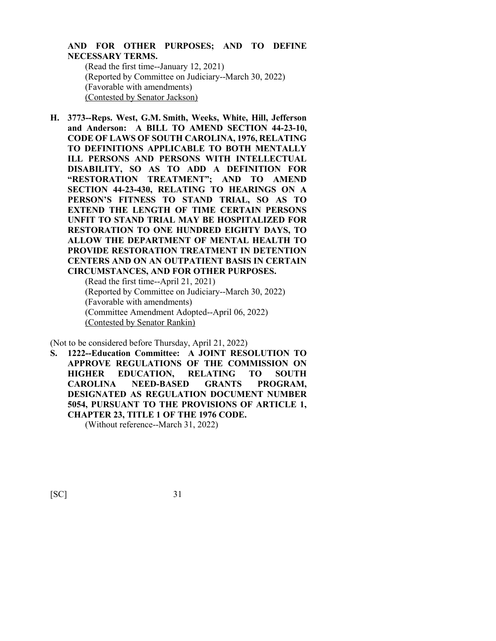### **AND FOR OTHER PURPOSES; AND TO DEFINE NECESSARY TERMS.**

(Read the first time--January 12, 2021) (Reported by Committee on Judiciary--March 30, 2022) (Favorable with amendments) (Contested by Senator Jackson)

**H. 3773--Reps. West, G.M. Smith, Weeks, White, Hill, Jefferson and Anderson: A BILL TO AMEND SECTION 44-23-10, CODE OF LAWS OF SOUTH CAROLINA, 1976, RELATING TO DEFINITIONS APPLICABLE TO BOTH MENTALLY ILL PERSONS AND PERSONS WITH INTELLECTUAL DISABILITY, SO AS TO ADD A DEFINITION FOR "RESTORATION TREATMENT"; AND TO AMEND SECTION 44-23-430, RELATING TO HEARINGS ON A PERSON'S FITNESS TO STAND TRIAL, SO AS TO EXTEND THE LENGTH OF TIME CERTAIN PERSONS UNFIT TO STAND TRIAL MAY BE HOSPITALIZED FOR RESTORATION TO ONE HUNDRED EIGHTY DAYS, TO ALLOW THE DEPARTMENT OF MENTAL HEALTH TO PROVIDE RESTORATION TREATMENT IN DETENTION CENTERS AND ON AN OUTPATIENT BASIS IN CERTAIN CIRCUMSTANCES, AND FOR OTHER PURPOSES.**

(Read the first time--April 21, 2021) (Reported by Committee on Judiciary--March 30, 2022) (Favorable with amendments) (Committee Amendment Adopted--April 06, 2022) (Contested by Senator Rankin)

(Not to be considered before Thursday, April 21, 2022)

**S. 1222--Education Committee: A JOINT RESOLUTION TO APPROVE REGULATIONS OF THE COMMISSION ON HIGHER EDUCATION, RELATING TO SOUTH CAROLINA NEED-BASED GRANTS PROGRAM, DESIGNATED AS REGULATION DOCUMENT NUMBER 5054, PURSUANT TO THE PROVISIONS OF ARTICLE 1, CHAPTER 23, TITLE 1 OF THE 1976 CODE.** (Without reference--March 31, 2022)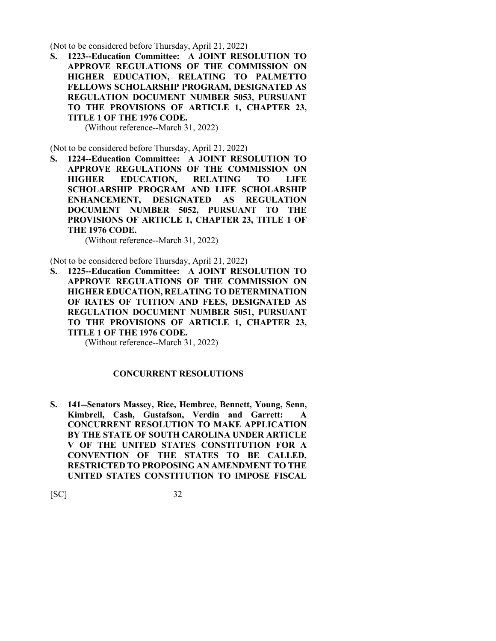(Not to be considered before Thursday, April 21, 2022)

**S. 1223--Education Committee: A JOINT RESOLUTION TO APPROVE REGULATIONS OF THE COMMISSION ON HIGHER EDUCATION, RELATING TO PALMETTO FELLOWS SCHOLARSHIP PROGRAM, DESIGNATED AS REGULATION DOCUMENT NUMBER 5053, PURSUANT TO THE PROVISIONS OF ARTICLE 1, CHAPTER 23, TITLE 1 OF THE 1976 CODE.**

(Without reference--March 31, 2022)

(Not to be considered before Thursday, April 21, 2022)

**S. 1224--Education Committee: A JOINT RESOLUTION TO APPROVE REGULATIONS OF THE COMMISSION ON HIGHER EDUCATION, RELATING TO LIFE SCHOLARSHIP PROGRAM AND LIFE SCHOLARSHIP ENHANCEMENT, DESIGNATED AS REGULATION DOCUMENT NUMBER 5052, PURSUANT TO THE PROVISIONS OF ARTICLE 1, CHAPTER 23, TITLE 1 OF THE 1976 CODE.**

(Without reference--March 31, 2022)

(Not to be considered before Thursday, April 21, 2022)

**S. 1225--Education Committee: A JOINT RESOLUTION TO APPROVE REGULATIONS OF THE COMMISSION ON HIGHER EDUCATION, RELATING TO DETERMINATION OF RATES OF TUITION AND FEES, DESIGNATED AS REGULATION DOCUMENT NUMBER 5051, PURSUANT TO THE PROVISIONS OF ARTICLE 1, CHAPTER 23, TITLE 1 OF THE 1976 CODE.**

(Without reference--March 31, 2022)

#### **CONCURRENT RESOLUTIONS**

**S. 141--Senators Massey, Rice, Hembree, Bennett, Young, Senn, Kimbrell, Cash, Gustafson, Verdin and Garrett: A CONCURRENT RESOLUTION TO MAKE APPLICATION BY THE STATE OF SOUTH CAROLINA UNDER ARTICLE V OF THE UNITED STATES CONSTITUTION FOR A CONVENTION OF THE STATES TO BE CALLED, RESTRICTED TO PROPOSING AN AMENDMENT TO THE UNITED STATES CONSTITUTION TO IMPOSE FISCAL**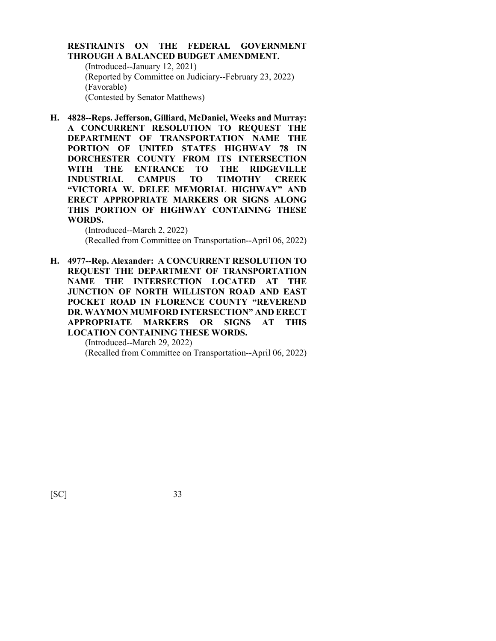### **RESTRAINTS ON THE FEDERAL GOVERNMENT THROUGH A BALANCED BUDGET AMENDMENT.**

(Introduced--January 12, 2021) (Reported by Committee on Judiciary--February 23, 2022) (Favorable) (Contested by Senator Matthews)

**H. 4828--Reps. Jefferson, Gilliard, McDaniel, Weeks and Murray: A CONCURRENT RESOLUTION TO REQUEST THE DEPARTMENT OF TRANSPORTATION NAME THE PORTION OF UNITED STATES HIGHWAY 78 IN DORCHESTER COUNTY FROM ITS INTERSECTION WITH THE ENTRANCE TO THE RIDGEVILLE INDUSTRIAL CAMPUS TO TIMOTHY CREEK "VICTORIA W. DELEE MEMORIAL HIGHWAY" AND ERECT APPROPRIATE MARKERS OR SIGNS ALONG THIS PORTION OF HIGHWAY CONTAINING THESE WORDS.**

> (Introduced--March 2, 2022) (Recalled from Committee on Transportation--April 06, 2022)

**H. 4977--Rep. Alexander: A CONCURRENT RESOLUTION TO REQUEST THE DEPARTMENT OF TRANSPORTATION NAME THE INTERSECTION LOCATED AT THE JUNCTION OF NORTH WILLISTON ROAD AND EAST POCKET ROAD IN FLORENCE COUNTY "REVEREND DR. WAYMON MUMFORD INTERSECTION" AND ERECT APPROPRIATE MARKERS OR SIGNS AT THIS LOCATION CONTAINING THESE WORDS.** (Introduced--March 29, 2022)

(Recalled from Committee on Transportation--April 06, 2022)